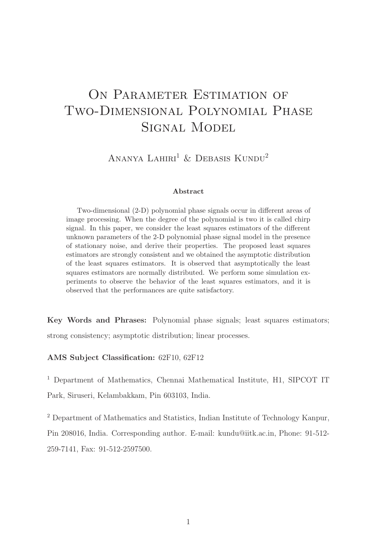# ON PARAMETER ESTIMATION OF Two-Dimensional Polynomial Phase Signal Model

ANANYA LAHIRI<sup>1</sup> & DEBASIS KUNDU<sup>2</sup>

#### Abstract

Two-dimensional (2-D) polynomial phase signals occur in different areas of image processing. When the degree of the polynomial is two it is called chirp signal. In this paper, we consider the least squares estimators of the different unknown parameters of the 2-D polynomial phase signal model in the presence of stationary noise, and derive their properties. The proposed least squares estimators are strongly consistent and we obtained the asymptotic distribution of the least squares estimators. It is observed that asymptotically the least squares estimators are normally distributed. We perform some simulation experiments to observe the behavior of the least squares estimators, and it is observed that the performances are quite satisfactory.

Key Words and Phrases: Polynomial phase signals; least squares estimators; strong consistency; asymptotic distribution; linear processes.

#### AMS Subject Classification: 62F10, 62F12

<sup>1</sup> Department of Mathematics, Chennai Mathematical Institute, H1, SIPCOT IT Park, Siruseri, Kelambakkam, Pin 603103, India.

<sup>2</sup> Department of Mathematics and Statistics, Indian Institute of Technology Kanpur, Pin 208016, India. Corresponding author. E-mail: kundu@iitk.ac.in, Phone: 91-512- 259-7141, Fax: 91-512-2597500.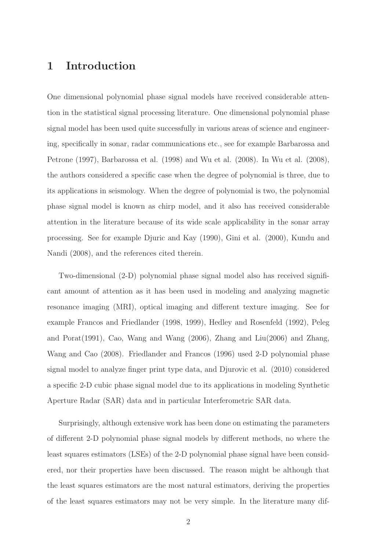### 1 Introduction

One dimensional polynomial phase signal models have received considerable attention in the statistical signal processing literature. One dimensional polynomial phase signal model has been used quite successfully in various areas of science and engineering, specifically in sonar, radar communications etc., see for example Barbarossa and Petrone (1997), Barbarossa et al. (1998) and Wu et al. (2008). In Wu et al. (2008), the authors considered a specific case when the degree of polynomial is three, due to its applications in seismology. When the degree of polynomial is two, the polynomial phase signal model is known as chirp model, and it also has received considerable attention in the literature because of its wide scale applicability in the sonar array processing. See for example Djuric and Kay (1990), Gini et al. (2000), Kundu and Nandi (2008), and the references cited therein.

Two-dimensional (2-D) polynomial phase signal model also has received significant amount of attention as it has been used in modeling and analyzing magnetic resonance imaging (MRI), optical imaging and different texture imaging. See for example Francos and Friedlander (1998, 1999), Hedley and Rosenfeld (1992), Peleg and Porat(1991), Cao, Wang and Wang (2006), Zhang and Liu(2006) and Zhang, Wang and Cao (2008). Friedlander and Francos (1996) used 2-D polynomial phase signal model to analyze finger print type data, and Djurovic et al. (2010) considered a specific 2-D cubic phase signal model due to its applications in modeling Synthetic Aperture Radar (SAR) data and in particular Interferometric SAR data.

Surprisingly, although extensive work has been done on estimating the parameters of different 2-D polynomial phase signal models by different methods, no where the least squares estimators (LSEs) of the 2-D polynomial phase signal have been considered, nor their properties have been discussed. The reason might be although that the least squares estimators are the most natural estimators, deriving the properties of the least squares estimators may not be very simple. In the literature many dif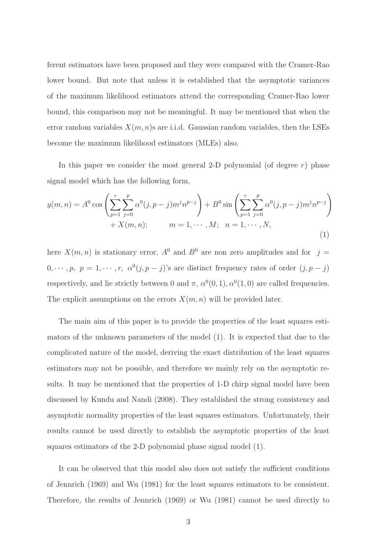ferent estimators have been proposed and they were compared with the Cramer-Rao lower bound. But note that unless it is established that the asymptotic variances of the maximum likelihood estimators attend the corresponding Cramer-Rao lower bound, this comparison may not be meaningful. It may be mentioned that when the error random variables  $X(m, n)$ s are i.i.d. Gaussian random variables, then the LSEs become the maximum likelihood estimators (MLEs) also.

In this paper we consider the most general 2-D polynomial (of degree  $r$ ) phase signal model which has the following form,

$$
y(m,n) = A^{0} \cos \left( \sum_{p=1}^{r} \sum_{j=0}^{p} \alpha^{0}(j, p-j) m^{j} n^{p-j} \right) + B^{0} \sin \left( \sum_{p=1}^{r} \sum_{j=0}^{p} \alpha^{0}(j, p-j) m^{j} n^{p-j} \right) + X(m,n); \qquad m = 1, \cdots, M; \quad n = 1, \cdots, N,
$$
\n(1)

here  $X(m, n)$  is stationary error,  $A^0$  and  $B^0$  are non zero amplitudes and for  $j =$  $0, \cdots, p, p = 1, \cdots, r, \alpha^{0}(j, p - j)$ 's are distinct frequency rates of order  $(j, p - j)$ respectively, and lie strictly between 0 and  $\pi$ ,  $\alpha^{0}(0,1)$ ,  $\alpha^{0}(1,0)$  are called frequencies. The explicit assumptions on the errors  $X(m, n)$  will be provided later.

The main aim of this paper is to provide the properties of the least squares estimators of the unknown parameters of the model (1). It is expected that due to the complicated nature of the model, deriving the exact distribution of the least squares estimators may not be possible, and therefore we mainly rely on the asymptotic results. It may be mentioned that the properties of 1-D chirp signal model have been discussed by Kundu and Nandi (2008). They established the strong consistency and asymptotic normality properties of the least squares estimators. Unfortunately, their results cannot be used directly to establish the asymptotic properties of the least squares estimators of the 2-D polynomial phase signal model (1).

It can be observed that this model also does not satisfy the sufficient conditions of Jennrich (1969) and Wu (1981) for the least squares estimators to be consistent. Therefore, the results of Jennrich (1969) or Wu (1981) cannot be used directly to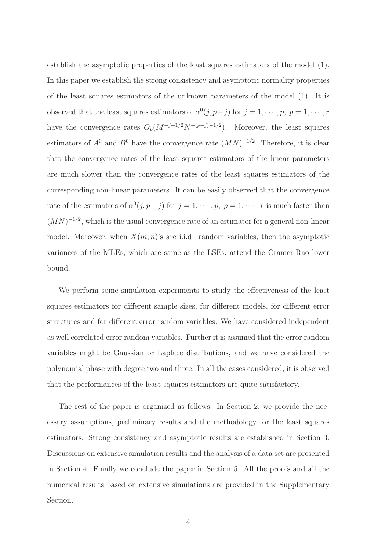establish the asymptotic properties of the least squares estimators of the model (1). In this paper we establish the strong consistency and asymptotic normality properties of the least squares estimators of the unknown parameters of the model (1). It is observed that the least squares estimators of  $\alpha^0(j, p-j)$  for  $j = 1, \dots, p, p = 1, \dots, r$ have the convergence rates  $O_p(M^{-j-1/2}N^{-(p-j)-1/2})$ . Moreover, the least squares estimators of  $A^0$  and  $B^0$  have the convergence rate  $(MN)^{-1/2}$ . Therefore, it is clear that the convergence rates of the least squares estimators of the linear parameters are much slower than the convergence rates of the least squares estimators of the corresponding non-linear parameters. It can be easily observed that the convergence rate of the estimators of  $\alpha^{0}(j, p - j)$  for  $j = 1, \dots, p$ ,  $p = 1, \dots, r$  is much faster than  $(MN)^{-1/2}$ , which is the usual convergence rate of an estimator for a general non-linear model. Moreover, when  $X(m, n)$ 's are i.i.d. random variables, then the asymptotic variances of the MLEs, which are same as the LSEs, attend the Cramer-Rao lower bound.

We perform some simulation experiments to study the effectiveness of the least squares estimators for different sample sizes, for different models, for different error structures and for different error random variables. We have considered independent as well correlated error random variables. Further it is assumed that the error random variables might be Gaussian or Laplace distributions, and we have considered the polynomial phase with degree two and three. In all the cases considered, it is observed that the performances of the least squares estimators are quite satisfactory.

The rest of the paper is organized as follows. In Section 2, we provide the necessary assumptions, preliminary results and the methodology for the least squares estimators. Strong consistency and asymptotic results are established in Section 3. Discussions on extensive simulation results and the analysis of a data set are presented in Section 4. Finally we conclude the paper in Section 5. All the proofs and all the numerical results based on extensive simulations are provided in the Supplementary Section.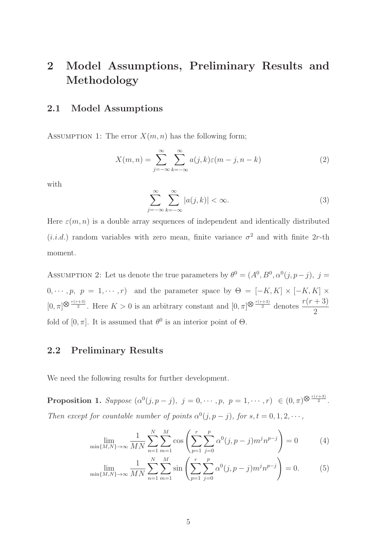# 2 Model Assumptions, Preliminary Results and Methodology

#### 2.1 Model Assumptions

ASSUMPTION 1: The error  $X(m, n)$  has the following form;

$$
X(m,n) = \sum_{j=-\infty}^{\infty} \sum_{k=-\infty}^{\infty} a(j,k)\varepsilon(m-j,n-k)
$$
 (2)

with

$$
\sum_{j=-\infty}^{\infty} \sum_{k=-\infty}^{\infty} |a(j,k)| < \infty. \tag{3}
$$

Here  $\varepsilon(m, n)$  is a double array sequences of independent and identically distributed  $(i.i.d.)$  random variables with zero mean, finite variance  $\sigma^2$  and with finite 2r-th moment.

ASSUMPTION 2: Let us denote the true parameters by  $\theta^0 = (A^0, B^0, \alpha^0(j, p-j), j =$  $0, \cdots, p, p = 1, \cdots, r$  and the parameter space by  $\Theta = [-K, K] \times [-K, K] \times$  $[0, \pi]^{\bigotimes \frac{r(r+3)}{2}}$ . Here  $K > 0$  is an arbitrary constant and  $[0, \pi]^{\bigotimes \frac{r(r+3)}{2}}$  denotes  $\frac{r(r+3)}{2}$ 2 fold of  $[0, \pi]$ . It is assumed that  $\theta^0$  is an interior point of  $\Theta$ .

#### 2.2 Preliminary Results

We need the following results for further development.

**Proposition 1.** Suppose  $(\alpha^{0}(j, p - j), j = 0, \dots, p, p = 1, \dots, r) \in (0, \pi)^{\bigotimes \frac{r(r+3)}{2}}$ . *Then except for countable number of points*  $\alpha^{0}(j, p - j)$ *, for*  $s, t = 0, 1, 2, \cdots$ *,* 

$$
\lim_{\min\{M,N\}\to\infty} \frac{1}{MN} \sum_{n=1}^{N} \sum_{m=1}^{M} \cos\left(\sum_{p=1}^{r} \sum_{j=0}^{p} \alpha^{0}(j, p-j) m^{j} n^{p-j}\right) = 0
$$
 (4)

$$
\lim_{\min\{M,N\}\to\infty} \frac{1}{MN} \sum_{n=1}^{N} \sum_{m=1}^{M} \sin\left(\sum_{p=1}^{r} \sum_{j=0}^{p} \alpha^{0}(j, p-j) m^{j} n^{p-j}\right) = 0.
$$
 (5)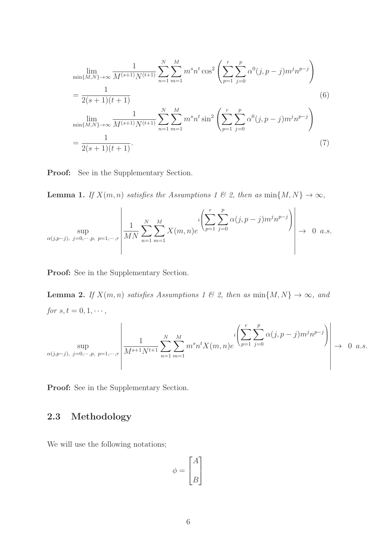$$
\lim_{\min\{M,N\}\to\infty} \frac{1}{M^{(s+1)}N^{(t+1)}} \sum_{n=1}^{N} \sum_{m=1}^{M} m^s n^t \cos^2 \left( \sum_{p=1}^{r} \sum_{j=0}^{p} \alpha^0(j, p-j) m^j n^{p-j} \right)
$$
\n
$$
= \frac{1}{2(s+1)(t+1)}
$$
\n
$$
\lim_{\min\{M,N\}\to\infty} \frac{1}{M^{(s+1)}N^{(t+1)}} \sum_{n=1}^{N} \sum_{m=1}^{M} m^s n^t \sin^2 \left( \sum_{p=1}^{r} \sum_{j=0}^{p} \alpha^0(j, p-j) m^j n^{p-j} \right)
$$
\n
$$
= \frac{1}{2(s+1)(t+1)}.
$$
\n(7)

Proof: See in the Supplementary Section.

**Lemma 1.** *If*  $X(m, n)$  *satisfies the Assumptions 1 & 2, then as*  $\min\{M, N\} \to \infty$ *,* 

$$
\sup_{\alpha(j,p-j),\ j=0,\cdots,p,\ p=1,\cdots,r} \left| \frac{1}{MN} \sum_{n=1}^{N} \sum_{m=1}^{M} X(m,n)e^{-i \left(\sum_{p=1}^{r} \sum_{j=0}^{p} \alpha(j,p-j)m^{j}n^{p-j}\right)} \right| \to 0 \text{ a.s.}
$$

Proof: See in the Supplementary Section.

**Lemma 2.** *If*  $X(m, n)$  *satisfies Assumptions 1 & 2, then as*  $\min\{M, N\} \to \infty$ *, and for*  $s, t = 0, 1, \dots$ ,

$$
\sup_{\alpha(j,p-j),\ j=0,\cdots,p,\ p=1,\cdots,r} \left| \frac{1}{M^{s+1}N^{t+1}} \sum_{n=1}^N \sum_{m=1}^M m^s n^t X(m,n) e^{i \left( \sum_{p=1}^r \sum_{j=0}^p \alpha(j,p-j) m^j n^{p-j} \right)} \right| \to 0 \text{ a.s.}
$$

Proof: See in the Supplementary Section.

### 2.3 Methodology

We will use the following notations;

$$
\phi = \begin{bmatrix} A \\[1mm] B \end{bmatrix}
$$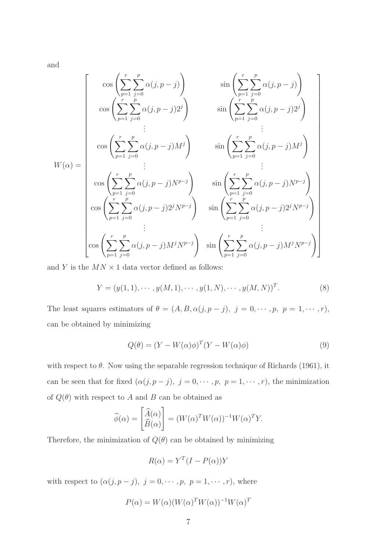and

$$
W(\alpha) = \begin{bmatrix} \cos\left(\sum_{p=1}^{r} \sum_{j=0}^{p} \alpha(j, p-j)\right) & \sin\left(\sum_{p=1}^{r} \sum_{j=0}^{p} \alpha(j, p-j)\right) \\ \cos\left(\sum_{p=1}^{r} \sum_{j=0}^{p} \alpha(j, p-j)2^{j}\right) & \sin\left(\sum_{p=1}^{r} \sum_{j=0}^{p} \alpha(j, p-j)2^{j}\right) \\ \vdots & \vdots \\ \cos\left(\sum_{p=1}^{r} \sum_{j=0}^{p} \alpha(j, p-j)M^{j}\right) & \sin\left(\sum_{p=1}^{r} \sum_{j=0}^{p} \alpha(j, p-j)M^{j}\right) \\ \cos\left(\sum_{p=1}^{r} \sum_{j=0}^{p} \alpha(j, p-j)N^{p-j}\right) & \sin\left(\sum_{p=1}^{r} \sum_{j=0}^{p} \alpha(j, p-j)N^{p-j}\right) \\ \cos\left(\sum_{p=1}^{r} \sum_{j=0}^{p} \alpha(j, p-j)2^{j}N^{p-j}\right) & \sin\left(\sum_{p=1}^{r} \sum_{j=0}^{p} \alpha(j, p-j)2^{j}N^{p-j}\right) \\ \vdots & \vdots \\ \cos\left(\sum_{p=1}^{r} \sum_{j=0}^{p} \alpha(j, p-j)M^{j}N^{p-j}\right) & \sin\left(\sum_{p=1}^{r} \sum_{j=0}^{p} \alpha(j, p-j)M^{j}N^{p-j}\right) \end{bmatrix}
$$

and  $Y$  is the  $MN \times 1$  data vector defined as follows:

$$
Y = (y(1,1), \cdots, y(M,1), \cdots, y(1,N), \cdots, y(M,N))^T.
$$
 (8)

The least squares estimators of  $\theta = (A, B, \alpha(j, p - j), j = 0, \dots, p, p = 1, \dots, r)$ , can be obtained by minimizing

$$
Q(\theta) = (Y - W(\alpha)\phi)^{T} (Y - W(\alpha)\phi)
$$
\n(9)

with respect to  $\theta$ . Now using the separable regression technique of Richards (1961), it can be seen that for fixed  $(\alpha(j, p - j), j = 0, \dots, p, p = 1, \dots, r)$ , the minimization of  $Q(\theta)$  with respect to A and B can be obtained as

$$
\widehat{\phi}(\alpha) = \begin{bmatrix} \widehat{A}(\alpha) \\ \widehat{B}(\alpha) \end{bmatrix} = (W(\alpha)^T W(\alpha))^{-1} W(\alpha)^T Y.
$$

Therefore, the minimization of  $Q(\theta)$  can be obtained by minimizing

$$
R(\alpha) = Y^T (I - P(\alpha)) Y
$$

with respect to  $(\alpha(j, p - j), j = 0, \dots, p, p = 1, \dots, r)$ , where

$$
P(\alpha) = W(\alpha)(W(\alpha)^T W(\alpha))^{-1} W(\alpha)^T
$$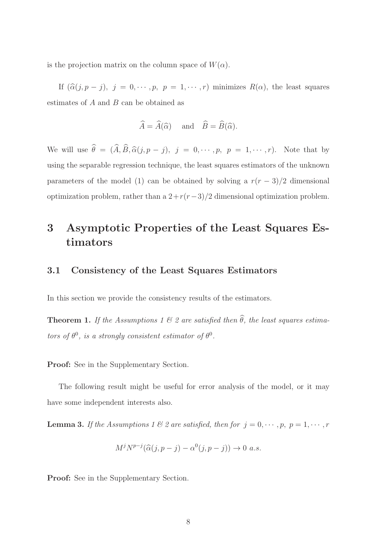is the projection matrix on the column space of  $W(\alpha)$ .

If  $(\hat{\alpha}(j, p - j), j = 0, \dots, p, p = 1, \dots, r)$  minimizes  $R(\alpha)$ , the least squares estimates of A and B can be obtained as

$$
\widehat{A} = \widehat{A}(\widehat{\alpha})
$$
 and  $\widehat{B} = \widehat{B}(\widehat{\alpha}).$ 

We will use  $\widehat{\theta} = (\widehat{A}, \widehat{B}, \widehat{\alpha}(j, p - j), j = 0, \cdots, p, p = 1, \cdots, r)$ . Note that by using the separable regression technique, the least squares estimators of the unknown parameters of the model (1) can be obtained by solving a  $r(r-3)/2$  dimensional optimization problem, rather than a  $2+r(r-3)/2$  dimensional optimization problem.

# 3 Asymptotic Properties of the Least Squares Estimators

#### 3.1 Consistency of the Least Squares Estimators

In this section we provide the consistency results of the estimators.

**Theorem 1.** *If the Assumptions 1*  $\&$  *2 are satisfied then*  $\widehat{\theta}$ *, the least squares estimators of*  $\theta^0$ *, is a strongly consistent estimator of*  $\theta^0$ *.* 

Proof: See in the Supplementary Section.

The following result might be useful for error analysis of the model, or it may have some independent interests also.

**Lemma 3.** *If the Assumptions 1 & 2 are satisfied, then for*  $j = 0, \dots, p, p = 1, \dots, r$ 

$$
M^j N^{p-j}(\widehat{\alpha}(j, p-j) - \alpha^0(j, p-j)) \to 0 \ a.s.
$$

Proof: See in the Supplementary Section.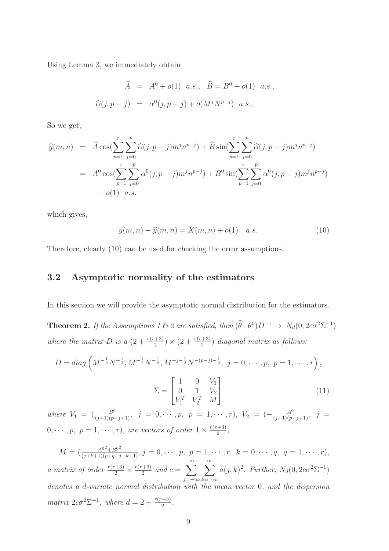Using Lemma 3, we immediately obtain

$$
\widehat{A} = A^0 + o(1) \ a.s., \ \widehat{B} = B^0 + o(1) \ a.s.,
$$
  

$$
\widehat{\alpha}(j, p - j) = \alpha^0(j, p - j) + o(M^j N^{p - j}) \ a.s.,
$$

So we get,

$$
\widehat{y}(m,n) = \widehat{A} \cos(\sum_{p=1}^{r} \sum_{j=0}^{p} \widehat{\alpha}(j, p-j) m^j n^{p-j}) + \widehat{B} \sin(\sum_{p=1}^{r} \sum_{j=0}^{p} \widehat{\alpha}(j, p-j) m^j n^{p-j})
$$
  
\n
$$
= A^0 \cos(\sum_{p=1}^{r} \sum_{j=0}^{p} \alpha^0(j, p-j) m^j n^{p-j}) + B^0 \sin(\sum_{p=1}^{r} \sum_{j=0}^{p} \alpha^0(j, p-j) m^j n^{p-j})
$$
  
\n
$$
+ o(1) a.s.
$$

which gives,

$$
y(m, n) - \hat{y}(m, n) = X(m, n) + o(1)
$$
 a.s. (10)

Therefore, clearly (10) can be used for checking the error assumptions.

#### 3.2 Asymptotic normality of the estimators

In this section we will provide the asymptotic normal distribution for the estimators.

**Theorem 2.** If the Assumptions 1 & 2 are satisfied, then  $(\hat{\theta} - \theta^0)D^{-1} \rightarrow N_d(0, 2c\sigma^2\Sigma^{-1})$ where the matrix D is a  $\left(2 + \frac{r(r+3)}{2}\right) \times \left(2 + \frac{r(r+3)}{2}\right)$  diagonal matrix as follows:

$$
D = diag\left(M^{-\frac{1}{2}}N^{-\frac{1}{2}}, M^{-\frac{1}{2}}N^{-\frac{1}{2}}, M^{-j-\frac{1}{2}}N^{-(p-j)-\frac{1}{2}}, j = 0, \cdots, p, p = 1, \cdots, r\right),\,
$$

$$
\Sigma = \begin{bmatrix} 1 & 0 & V_1 \\ 0 & 1 & V_2 \\ V_1^T & V_2^T & M \end{bmatrix} \tag{11}
$$

*where*  $V_1 = \left(\frac{B^0}{(j+1)(p-j+1)}, j = 0, \cdots, p, p = 1, \cdots, r\right)$ ,  $V_2 = \left(-\frac{A^0}{(j+1)(p-j+1)}, j = 0, \cdots, p\right)$  $0, \cdots, p, p = 1, \cdots, r$ , are vectors of order  $1 \times \frac{r(r+3)}{2}$  $\frac{(+3)}{2}$ ,

 $M = \left(\frac{A^{0^2} + B^{0^2}}{(j+k+1)(p+q-j-k+1)}, j = 0, \cdots, p, p = 1, \cdots, r, k = 0, \cdots, q, q = 1, \cdots, r\right)$ *a matrix of order*  $\frac{r(r+3)}{2} \times \frac{r(r+3)}{2}$  $\frac{a+3}{2}$  and  $c = \sum^{\infty}$ j=−∞  $\sum_{i=1}^{\infty}$  $k=-\infty$  $a(j,k)^2$ . Further,  $N_d(0,2c\sigma^2\Sigma^{-1})$ *denotes a* d*-variate normal distribution with the mean vector* 0*, and the dispersion matrix*  $2c\sigma^2\Sigma^{-1}$ *, where*  $d = 2 + \frac{r(r+3)}{2}$ *.*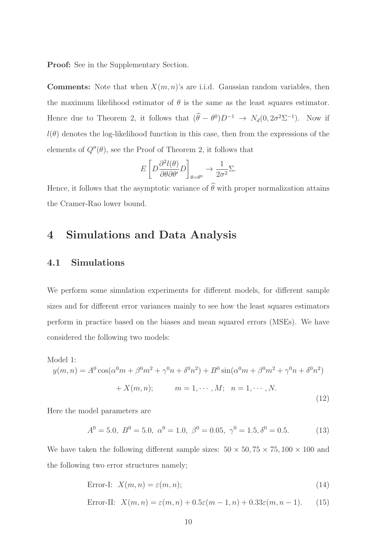Proof: See in the Supplementary Section.

**Comments:** Note that when  $X(m, n)$ 's are i.i.d. Gaussian random variables, then the maximum likelihood estimator of  $\theta$  is the same as the least squares estimator. Hence due to Theorem 2, it follows that  $(\hat{\theta} - \theta^0)D^{-1} \to N_d(0, 2\sigma^2\Sigma^{-1})$ . Now if  $l(\theta)$  denotes the log-likelihood function in this case, then from the expressions of the elements of  $Q''(\theta)$ , see the Proof of Theorem 2, it follows that

$$
E\left[D\frac{\partial^2 l(\theta)}{\partial \theta \partial \theta'}D\right]_{\theta=\theta^0} \to \frac{1}{2\sigma^2}\Sigma.
$$

Hence, it follows that the asymptotic variance of  $\widehat{\theta}$  with proper normalization attains the Cramer-Rao lower bound.

### 4 Simulations and Data Analysis

#### 4.1 Simulations

We perform some simulation experiments for different models, for different sample sizes and for different error variances mainly to see how the least squares estimators perform in practice based on the biases and mean squared errors (MSEs). We have considered the following two models:

Model 1:

$$
y(m,n) = A^{0} \cos(\alpha^{0} m + \beta^{0} m^{2} + \gamma^{0} n + \delta^{0} n^{2}) + B^{0} \sin(\alpha^{0} m + \beta^{0} m^{2} + \gamma^{0} n + \delta^{0} n^{2})
$$
  
+  $X(m,n); \qquad m = 1, \cdots, M; \quad n = 1, \cdots, N.$  (12)

Here the model parameters are

$$
A^{0} = 5.0, B^{0} = 5.0, \alpha^{0} = 1.0, \beta^{0} = 0.05, \gamma^{0} = 1.5, \delta^{0} = 0.5.
$$
 (13)

We have taken the following different sample sizes:  $50 \times 50$ ,  $75 \times 75$ ,  $100 \times 100$  and the following two error structures namely;

$$
Error-I: X(m,n) = \varepsilon(m,n); \tag{14}
$$

Error-II: 
$$
X(m,n) = \varepsilon(m,n) + 0.5\varepsilon(m-1,n) + 0.33\varepsilon(m,n-1).
$$
 (15)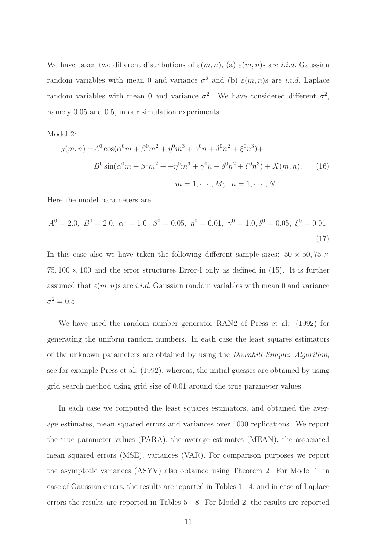We have taken two different distributions of  $\varepsilon(m, n)$ , (a)  $\varepsilon(m, n)$ s are *i.i.d.* Gaussian random variables with mean 0 and variance  $\sigma^2$  and (b)  $\varepsilon(m,n)$ s are *i.i.d.* Laplace random variables with mean 0 and variance  $\sigma^2$ . We have considered different  $\sigma^2$ , namely 0.05 and 0.5, in our simulation experiments.

Model 2:

$$
y(m, n) = A^{0} \cos(\alpha^{0} m + \beta^{0} m^{2} + \eta^{0} m^{3} + \gamma^{0} n + \delta^{0} n^{2} + \xi^{0} n^{3}) +
$$
  
\n
$$
B^{0} \sin(\alpha^{0} m + \beta^{0} m^{2} + \eta^{0} m^{3} + \gamma^{0} n + \delta^{0} n^{2} + \xi^{0} n^{3}) + X(m, n); \qquad (16)
$$
  
\n
$$
m = 1, \cdots, M; \quad n = 1, \cdots, N.
$$

Here the model parameters are

$$
A^{0} = 2.0, B^{0} = 2.0, \alpha^{0} = 1.0, \beta^{0} = 0.05, \eta^{0} = 0.01, \gamma^{0} = 1.0, \delta^{0} = 0.05, \xi^{0} = 0.01.
$$
\n(17)

In this case also we have taken the following different sample sizes:  $50 \times 50, 75 \times$  $75,100 \times 100$  and the error structures Error-I only as defined in (15). It is further assumed that  $\varepsilon(m, n)$ s are i.i.d. Gaussian random variables with mean 0 and variance  $\sigma^2=0.5$ 

We have used the random number generator RAN2 of Press et al. (1992) for generating the uniform random numbers. In each case the least squares estimators of the unknown parameters are obtained by using the *Downhill Simplex Algorithm*, see for example Press et al. (1992), whereas, the initial guesses are obtained by using grid search method using grid size of 0.01 around the true parameter values.

In each case we computed the least squares estimators, and obtained the average estimates, mean squared errors and variances over 1000 replications. We report the true parameter values (PARA), the average estimates (MEAN), the associated mean squared errors (MSE), variances (VAR). For comparison purposes we report the asymptotic variances (ASYV) also obtained using Theorem 2. For Model 1, in case of Gaussian errors, the results are reported in Tables 1 - 4, and in case of Laplace errors the results are reported in Tables 5 - 8. For Model 2, the results are reported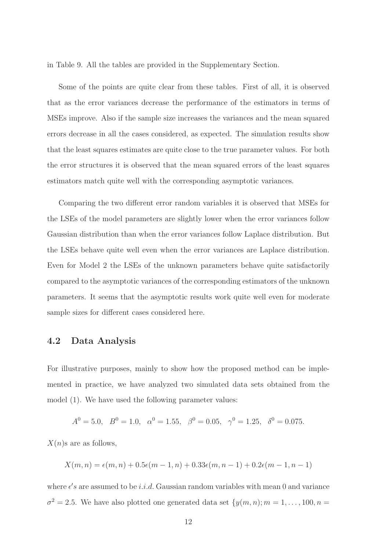in Table 9. All the tables are provided in the Supplementary Section.

Some of the points are quite clear from these tables. First of all, it is observed that as the error variances decrease the performance of the estimators in terms of MSEs improve. Also if the sample size increases the variances and the mean squared errors decrease in all the cases considered, as expected. The simulation results show that the least squares estimates are quite close to the true parameter values. For both the error structures it is observed that the mean squared errors of the least squares estimators match quite well with the corresponding asymptotic variances.

Comparing the two different error random variables it is observed that MSEs for the LSEs of the model parameters are slightly lower when the error variances follow Gaussian distribution than when the error variances follow Laplace distribution. But the LSEs behave quite well even when the error variances are Laplace distribution. Even for Model 2 the LSEs of the unknown parameters behave quite satisfactorily compared to the asymptotic variances of the corresponding estimators of the unknown parameters. It seems that the asymptotic results work quite well even for moderate sample sizes for different cases considered here.

#### 4.2 Data Analysis

For illustrative purposes, mainly to show how the proposed method can be implemented in practice, we have analyzed two simulated data sets obtained from the model (1). We have used the following parameter values:

$$
A^0 = 5.0
$$
,  $B^0 = 1.0$ ,  $\alpha^0 = 1.55$ ,  $\beta^0 = 0.05$ ,  $\gamma^0 = 1.25$ ,  $\delta^0 = 0.075$ .

 $X(n)$ s are as follows,

$$
X(m, n) = \epsilon(m, n) + 0.5\epsilon(m - 1, n) + 0.33\epsilon(m, n - 1) + 0.2\epsilon(m - 1, n - 1)
$$

where  $\epsilon's$  are assumed to be *i.i.d.* Gaussian random variables with mean 0 and variance  $\sigma^2 = 2.5$ . We have also plotted one generated data set  $\{y(m, n); m = 1, \ldots, 100, n = 1, \ldots, n\}$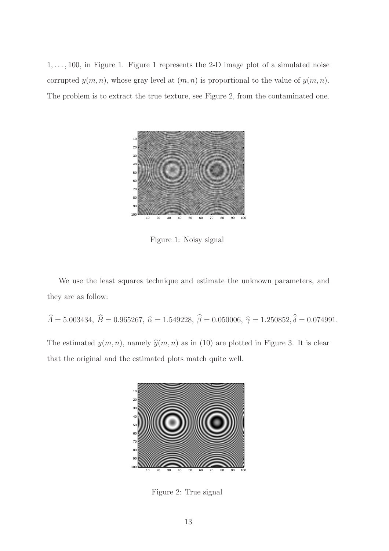$1, \ldots, 100$ , in Figure 1. Figure 1 represents the 2-D image plot of a simulated noise corrupted  $y(m, n)$ , whose gray level at  $(m, n)$  is proportional to the value of  $y(m, n)$ . The problem is to extract the true texture, see Figure 2, from the contaminated one.



Figure 1: Noisy signal

We use the least squares technique and estimate the unknown parameters, and they are as follow:

 $\hat{A} = 5.003434, \ \hat{B} = 0.965267, \ \hat{\alpha} = 1.549228, \ \hat{\beta} = 0.050006, \ \hat{\gamma} = 1.250852, \hat{\delta} = 0.074991.$ The estimated  $y(m, n)$ , namely  $\hat{y}(m, n)$  as in (10) are plotted in Figure 3. It is clear that the original and the estimated plots match quite well.



Figure 2: True signal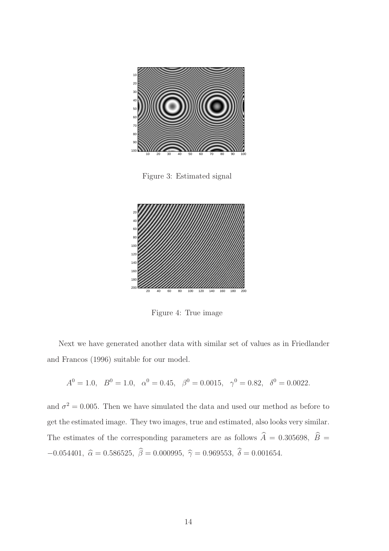

Figure 3: Estimated signal



Figure 4: True image

Next we have generated another data with similar set of values as in Friedlander and Francos (1996) suitable for our model.

$$
A^0 = 1.0
$$
,  $B^0 = 1.0$ ,  $\alpha^0 = 0.45$ ,  $\beta^0 = 0.0015$ ,  $\gamma^0 = 0.82$ ,  $\delta^0 = 0.0022$ .

and  $\sigma^2 = 0.005$ . Then we have simulated the data and used our method as before to get the estimated image. They two images, true and estimated, also looks very similar. The estimates of the corresponding parameters are as follows  $\hat{A} = 0.305698, \ \hat{B} =$ −0.054401,  $\hat{\alpha} = 0.586525$ ,  $\hat{\beta} = 0.000995$ ,  $\hat{\gamma} = 0.969553$ ,  $\hat{\delta} = 0.001654$ .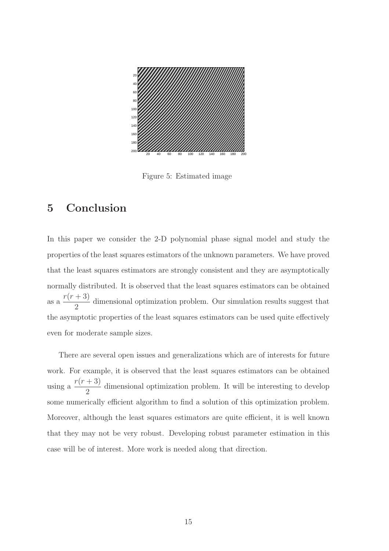

Figure 5: Estimated image

### 5 Conclusion

In this paper we consider the 2-D polynomial phase signal model and study the properties of the least squares estimators of the unknown parameters. We have proved that the least squares estimators are strongly consistent and they are asymptotically normally distributed. It is observed that the least squares estimators can be obtained as a  $r(r+3)$ 2 dimensional optimization problem. Our simulation results suggest that the asymptotic properties of the least squares estimators can be used quite effectively even for moderate sample sizes.

There are several open issues and generalizations which are of interests for future work. For example, it is observed that the least squares estimators can be obtained using a  $r(r+3)$ 2 dimensional optimization problem. It will be interesting to develop some numerically efficient algorithm to find a solution of this optimization problem. Moreover, although the least squares estimators are quite efficient, it is well known that they may not be very robust. Developing robust parameter estimation in this case will be of interest. More work is needed along that direction.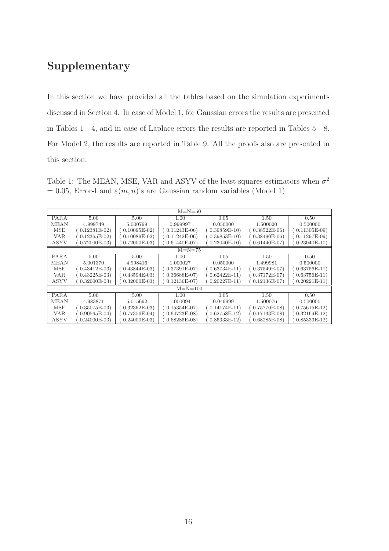# Supplementary

In this section we have provided all the tables based on the simulation experiments discussed in Section 4. In case of Model 1, for Gaussian errors the results are presented in Tables 1 - 4, and in case of Laplace errors the results are reported in Tables 5 - 8. For Model 2, the results are reported in Table 9. All the proofs also are presented in this section.

Table 1: The MEAN, MSE, VAR and ASYV of the least squares estimators when  $\sigma^2$  $= 0.05$ , Error-I and  $\varepsilon(m, n)$ 's are Gaussian random variables (Model 1)

| $M=N=50$    |               |                |                                |                |               |                |  |  |  |  |
|-------------|---------------|----------------|--------------------------------|----------------|---------------|----------------|--|--|--|--|
|             |               |                |                                |                |               |                |  |  |  |  |
| <b>PARA</b> | 5.00          | 5.00           | 1.00                           | 0.05           | 1.50          | 0.50           |  |  |  |  |
| <b>MEAN</b> | 4.998749      | 5.000799       | 0.999997                       | 0.050000       | 1.500020      | 0.500000       |  |  |  |  |
| MSE         | $0.12381E-02$ | $0.10095E-02)$ | $0.11243E-06$                  | $0.39859E-10$  | $0.38522E-06$ | $0.11305E-09$  |  |  |  |  |
| VAR.        | $0.12365E-02$ | $0.10089E-02$  | $0.11242E-06$                  | $0.39853E-10$  | $0.38490E-06$ | $0.11297E-09$  |  |  |  |  |
| ASYV        | $0.72000E-03$ | $0.72000E-03$  | $0.61440E-07$                  | $0.23040E-10$  | $0.61440E-07$ | $0.23040E-10$  |  |  |  |  |
| $M=N=75$    |               |                |                                |                |               |                |  |  |  |  |
| <b>PARA</b> | 5.00<br>5.00  |                | 1.00                           | 0.05           | 1.50          | 0.50           |  |  |  |  |
| <b>MEAN</b> | 5.001370      | 4.998416       | 1.000027                       | 0.050000       | 1.499981      | 0.500000       |  |  |  |  |
| <b>MSE</b>  | $0.43412E-03$ | $0.43844E-03$  | $(0.37391E-07)$                | $0.63734E-11)$ | $0.37549E-07$ | $0.63756E-11)$ |  |  |  |  |
| VAR.        | $0.43225E-03$ | $0.43594E-03$  | $0.36688E-07$                  | $0.62422E-11$  | $0.37172E-07$ | $0.63756E-11)$ |  |  |  |  |
| <b>ASYV</b> | $0.32000E-03$ | $0.32000E-03$  | $0.20227E-11$<br>$0.12136E-07$ |                | $0.12136E-07$ | $0.20221E-11)$ |  |  |  |  |
|             |               |                | $M = N = 100$                  |                |               |                |  |  |  |  |
| <b>PARA</b> | 5.00          | 5.00           | 1.00                           | 0.05           | 1.50          | 0.50           |  |  |  |  |
| <b>MEAN</b> | 4.983871      | 5.015692       | 1.000094                       | 0.049999       | 1.500076      | 0.500000       |  |  |  |  |
| MSE         | $0.35075E-03$ | $0.32362E-03$  | $0.15354E-07$                  | $0.14174E-11$  | $0.75770E-08$ | $0.75615E-12)$ |  |  |  |  |
| VAR.        | $0.90565E-04$ | $0.77356E-04$  | $0.64723E-08$                  | $0.62758E-12$  | $0.17133E-08$ | $0.32169E-12$  |  |  |  |  |
| <b>ASYV</b> | $0.24000E-03$ | $0.24000E-03$  | $0.68285E-08$                  | $0.85333E-12$  | $0.68285E-08$ | $0.85333E-12$  |  |  |  |  |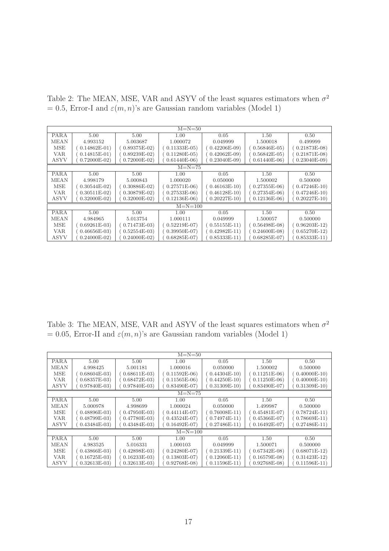Table 2: The MEAN, MSE, VAR and ASYV of the least squares estimators when  $\sigma^2$ = 0.5, Error-I and  $\varepsilon(m, n)$ 's are Gaussian random variables (Model 1)

| $M=N=50$    |                                              |                |                                |               |               |                  |  |  |  |
|-------------|----------------------------------------------|----------------|--------------------------------|---------------|---------------|------------------|--|--|--|
|             | PARA<br>5.00<br>5.00<br>1.00<br>0.05<br>1.50 |                |                                |               |               |                  |  |  |  |
| <b>MEAN</b> | 4.993152                                     | 5.003687       | 1.000072                       | 0.049999      | 1.500018      | 0.50<br>0.499999 |  |  |  |
| <b>MSE</b>  | $0.14862E-01$                                | $0.89375E-02$  | $0.11333E-05$                  | $0.42206E-09$ | $0.56846E-05$ | $0.21873E-08$    |  |  |  |
| VAR.        | $0.14815E-01$                                | $0.89239E-02$  | $0.11280E-05$                  | $0.42062E-09$ | $0.56842E-05$ | $0.21871E-08$    |  |  |  |
| <b>ASYV</b> | $0.72000E-02$                                | $0.72000E-02)$ | $0.61440E-06$                  | $0.23040E-09$ | $0.61440E-06$ | $0.23040E-09$    |  |  |  |
|             | $M=N=75$                                     |                |                                |               |               |                  |  |  |  |
| <b>PARA</b> | 5.00                                         | 5.00           | 1.00                           | 0.05          | 1.50          | 0.50             |  |  |  |
| <b>MEAN</b> | 4.998179                                     | 5.000843       | 1.000020                       | 0.050000      | 1.500002      | 0.500000         |  |  |  |
| MSE         | $0.30544E-02$                                | $0.30886E-02$  | $0.27571E-06$                  | $0.46163E-10$ | $0.27355E-06$ | $0.47246E-10$    |  |  |  |
| VAR.        | $0.30511E-02$                                | $0.30879E-02$  | $0.27533E-06$                  | $0.46128E-10$ | $0.27354E-06$ | $0.47246E-10$    |  |  |  |
| <b>ASYV</b> | $0.32000E-02$                                | $0.32000E-02)$ | $0.20227E-10$<br>$0.12136E-06$ |               | $0.12136E-06$ | $0.20227E-10$    |  |  |  |
|             |                                              |                | $M = N = 100$                  |               |               |                  |  |  |  |
| <b>PARA</b> | 5.00                                         | 5.00           | 1.00                           | 0.05          | 1.50          | 0.50             |  |  |  |
| <b>MEAN</b> | 4.984965                                     | 5.013754       | 1.000111                       | 0.049999      | 1.500057      | 0.500000         |  |  |  |
| MSE         | $0.69261E-03$                                | $0.71473E-03$  | $0.52219E-07$                  | $0.55155E-11$ | $0.56498E-08$ | $0.96203E-12$    |  |  |  |
| <b>VAR</b>  | $0.46656E-03$                                | $0.52554E-03$  | $0.39950E-07$                  | $0.42982E-11$ | $0.24600E-08$ | $0.65270E-12$    |  |  |  |
| <b>ASYV</b> | $0.24000E-02$                                | $0.24000E-02$  | $0.68285E-07$                  | $0.85333E-11$ | $0.68285E-07$ | $0.85333E-11)$   |  |  |  |

Table 3: The MEAN, MSE, VAR and ASYV of the least squares estimators when  $\sigma^2$  $= 0.05$ , Error-II and  $\varepsilon(m, n)$ 's are Gaussian random variables (Model 1)

| $M=N=50$    |               |               |                                |                |               |                 |  |  |  |
|-------------|---------------|---------------|--------------------------------|----------------|---------------|-----------------|--|--|--|
| <b>PARA</b> | 5.00<br>5.00  |               | 1.00<br>0.05                   |                | 1.50          | 0.50            |  |  |  |
| <b>MEAN</b> | 4.998425      | 5.001181      | 1.000016                       | 0.050000       | 1.500002      | 0.500000        |  |  |  |
| <b>MSE</b>  | $0.68604E-03$ | $0.68611E-03$ | $(0.11592E-06)$                | $0.44304E-10$  | $0.11251E-06$ | $(0.40000E-10)$ |  |  |  |
| <b>VAR</b>  | $0.68357E-03$ | $0.68472E-03$ | $0.11565E-06$                  | $0.44250E-10$  | $0.11250E-06$ | $0.40000E-10$   |  |  |  |
| ASYV        | $0.97840E-03$ | $0.97840E-03$ | $0.83490E-07$                  | $0.31309E-10$  | $0.83490E-07$ | $0.31309E-10$   |  |  |  |
| $M=N=75$    |               |               |                                |                |               |                 |  |  |  |
| PARA        | 5.00<br>5.00  |               | 1.00                           | 0.05           | 1.50          | 0.50            |  |  |  |
| <b>MEAN</b> | 5.000978      | 4.998699      | 1.000024                       | 0.050000       | 1.499987      | 0.500000        |  |  |  |
| <b>MSE</b>  | $0.48896E-03$ | $0.47950E-03$ | $0.44114E-07$                  | $0.76008E-11$  | $0.45481E-07$ | $(0.78724E-11)$ |  |  |  |
| <b>VAR</b>  | $0.48799E-03$ | $0.47780E-03$ | $0.43524E-07$                  | $0.74974E-11$  | $0.45366E-07$ | $0.78669E-11)$  |  |  |  |
| ASYV        | $0.43484E-03$ | $0.43484E-03$ | $0.27486E-11$<br>$0.16492E-07$ |                | $0.16492E-07$ | $0.27486E-11$   |  |  |  |
|             |               |               | $M = N = 100$                  |                |               |                 |  |  |  |
| <b>PARA</b> | 5.00          | 5.00          | 1.00                           | 0.05           | 1.50          | 0.50            |  |  |  |
| <b>MEAN</b> | 4.983525      | 5.016331      | 1.000103                       | 0.049999       | 1.500071      | 0.500000        |  |  |  |
| <b>MSE</b>  | $0.43866E-03$ | $0.42898E-03$ | $0.24280E-07$                  | $0.21339E-11)$ | $0.67342E-08$ | $0.68071E-12$   |  |  |  |
| <b>VAR</b>  | $0.16725E-03$ | $0.16233E-03$ | $0.13803E-07$                  | $0.12060E-11)$ | $0.16579E-08$ | $0.31423E-12$   |  |  |  |
| ASYV        | $0.32613E-03$ | $0.32613E-03$ | $0.92768E-08$                  | $0.11596E-11)$ | $0.92768E-08$ | $0.11596E-11)$  |  |  |  |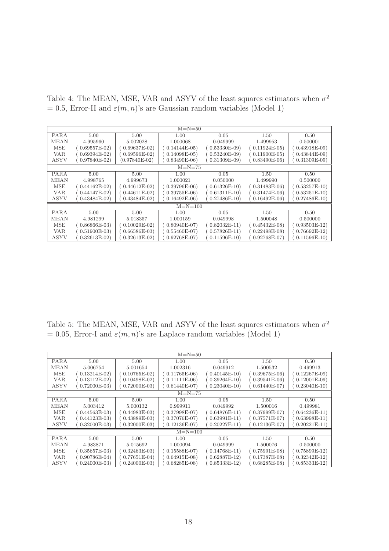Table 4: The MEAN, MSE, VAR and ASYV of the least squares estimators when  $\sigma^2$  $= 0.5$ , Error-II and  $\varepsilon(m, n)$ 's are Gaussian random variables (Model 1)

| $M=N=50$    |                |                                                 |                 |                |               |                |  |  |  |
|-------------|----------------|-------------------------------------------------|-----------------|----------------|---------------|----------------|--|--|--|
| <b>PARA</b> | 5.00<br>5.00   |                                                 | 1.00<br>0.05    |                | 1.50          | 0.50           |  |  |  |
| <b>MEAN</b> | 4.995960       | 5.002028                                        | 1.000068        | 0.049999       | 1.499953      | 0.500001       |  |  |  |
| MSE         | $0.69557E-02$  | $0.69637E-02$                                   | $(0.14144E-05)$ | $0.53330E-09$  | $0.11924E-05$ | $0.43918E-09$  |  |  |  |
| <b>VAR</b>  | $0.69394E-02$  | $0.69596E-02)$                                  | $0.14098E-05$   | $0.53240E-09$  | $0.11900E-05$ | $0.43844E-09$  |  |  |  |
| ASYV        | $0.97840E-02$  | $(0.97840E-02)$                                 | $0.83490E-06$   | $0.31309E-09$  | $0.83490E-06$ | $0.31309E-09$  |  |  |  |
| $M=N=75$    |                |                                                 |                 |                |               |                |  |  |  |
| <b>PARA</b> | 5.00           | 5.00                                            | 1.00            | 0.05           | 1.50          | 0.50           |  |  |  |
| <b>MEAN</b> | 4.998765       | 4.999673                                        | 1.000021        | 0.050000       | 1.499990      | 0.500000       |  |  |  |
| MSE         | $0.44162E-02)$ | $0.44612E-02$                                   | $(0.39796E-06)$ | $0.61326E-10$  | $0.31483E-06$ | $0.53257E-10$  |  |  |  |
| VAR.        | $0.44147E-02$  | $0.44611E-02$                                   | $0.39755E-06$   | $0.61311E-10$  | $0.31474E-06$ | $0.53251E-10$  |  |  |  |
| <b>ASYV</b> | $0.43484E-02$  | $0.27486E-10$<br>$0.43484E-02$<br>$0.16492E-06$ |                 |                | $0.16492E-06$ | $0.27486E-10$  |  |  |  |
|             |                |                                                 | $M = N = 100$   |                |               |                |  |  |  |
| <b>PARA</b> | 5.00           | 5.00                                            | 1.00            | 0.05           | 1.50          | 0.50           |  |  |  |
| <b>MEAN</b> | 4.981299       | 5.018357                                        | 1.000159        | 0.049998       | 1.500048      | 0.500000       |  |  |  |
| <b>MSE</b>  | $0.86866E-03$  | $0.10029E-02$                                   | $(0.80940E-07)$ | $0.82032E-11)$ | $0.45432E-08$ | $0.93503E-12$  |  |  |  |
| VAR.        | $0.51900E-03$  | $0.66586E-03$                                   | $0.55460E-07$   | $0.57826E-11)$ | $0.22498E-08$ | $0.76692E-12)$ |  |  |  |
| ASYV        | $0.32613E-02$  | $0.32613E-02$                                   | $0.92768E-07$   | $0.11596E-10$  | $0.92768E-07$ | $0.11596E-10$  |  |  |  |

Table 5: The MEAN, MSE, VAR and ASYV of the least squares estimators when  $\sigma^2$  $= 0.05$ , Error-I and  $\varepsilon(m, n)$ 's are Laplace random variables (Model 1)

| $M=N=50$    |                |                 |                 |                                |               |                |  |  |  |
|-------------|----------------|-----------------|-----------------|--------------------------------|---------------|----------------|--|--|--|
| <b>PARA</b> | 5.00<br>5.00   |                 | 0.05<br>1.00    |                                | 1.50          | 0.50           |  |  |  |
| <b>MEAN</b> | 5.006754       | 5.001654        | 1.002316        | 0.049912                       | 1.500532      | 0.499913       |  |  |  |
| <b>MSE</b>  | $0.13214E-02$  | $(0.10765E-02)$ | $(0.11765E-06)$ | $0.40145E-10$                  | $0.39675E-06$ | $0.12267E-09$  |  |  |  |
| VAR.        | $0.13112E-02$  | $0.10498E-02$   | $0.11111E-06$   | $0.39264E-10$                  | $0.39541E-06$ | $0.12001E-09$  |  |  |  |
| ASYV        | $0.72000E-03$  | $0.72000E-03$   | $0.61440E-07$   | $0.61440E-07$<br>$0.23040E-10$ |               | $0.23040E-10$  |  |  |  |
| $M=N=75$    |                |                 |                 |                                |               |                |  |  |  |
| <b>PARA</b> | 5.00<br>5.00   |                 | 1.00            | 0.05                           | 1.50          | 0.50           |  |  |  |
| <b>MEAN</b> | 5.003412       | 5.000132        | 0.999911        | 0.049992                       | 1.500016      | 0.499981       |  |  |  |
| MSE         | $0.44563E-03$  | $0.44983E-03$   | $0.37998E-07$   | $0.64876E-11$                  | $0.37999E-07$ | $0.64236E-11$  |  |  |  |
| VAR.        | $0.44123E-03$  | $0.43889E-03$   | $0.37076E-07$   | $0.63991E-11)$                 | $0.37571E-07$ | $0.63998E-11)$ |  |  |  |
| ASYV        | $0.32000E-03$  | $0.32000E-03$   | $0.12136E-07$   | $0.20227E-11$                  |               | $0.20221E-11$  |  |  |  |
|             |                |                 | $M = N = 100$   |                                |               |                |  |  |  |
| <b>PARA</b> | 5.00           | 5.00            | 1.00            | 0.05                           | 1.50          | 0.50           |  |  |  |
| <b>MEAN</b> | 4.983871       | 5.015692        | 1.000094        | 0.049999                       | 1.500076      | 0.500000       |  |  |  |
| <b>MSE</b>  | $0.35657E-03$  | $0.32463E-03$   | $0.15588E-07$   | $0.14768E-11$                  | $0.75991E-08$ | $0.75899E-12$  |  |  |  |
| VAR.        | $0.90786E-04)$ | $0.77651E-04$   | $0.64915E-08$   | $0.62887E-12$                  | $0.17387E-08$ | $0.32342E-12$  |  |  |  |
| ASYV        | $0.24000E-03$  | $0.24000E-03$   | $0.68285E-08$   | $0.85333E-12$                  | $0.68285E-08$ | $0.85333E-12$  |  |  |  |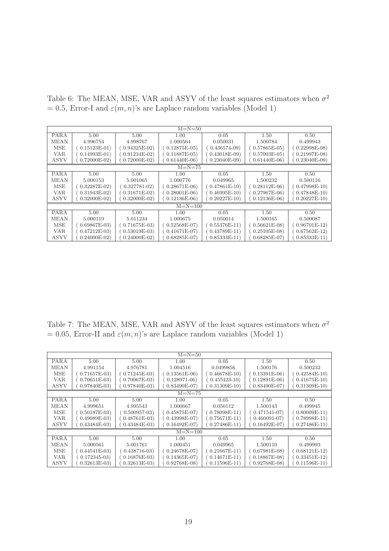Table 6: The MEAN, MSE, VAR and ASYV of the least squares estimators when  $\sigma^2$ = 0.5, Error-I and  $\varepsilon(m, n)$ 's are Laplace random variables (Model 1)

| $M=N=50$    |               |                 |                                |                |               |                |  |  |  |
|-------------|---------------|-----------------|--------------------------------|----------------|---------------|----------------|--|--|--|
| <b>PARA</b> | 5.00<br>5.00  |                 | 1.00                           | 0.05           |               | 0.50           |  |  |  |
| <b>MEAN</b> | 4.996754      | 4.998767        | 1.000564                       | 0.050031       | 1.500784      | 0.499943       |  |  |  |
| MSE         | $0.15123E-01$ | $0.94325E-02$   | $(0.12875E-05)$                | $0.436574-09$  | $0.57865E-05$ | $0.22998E-08$  |  |  |  |
| VAR.        | $0.14993E-01$ | $0.91234E-02$   | $0.11887E-05$                  | $0.43018E-09$  | $0.57003E-05$ | $0.21997E-08$  |  |  |  |
| ASYV        | $0.72000E-02$ | $0.72000E-02)$  | $0.61440E-06$                  | $0.23040E-09$  | $0.61440E-06$ | $0.23040E-09$  |  |  |  |
| $M=N=75$    |               |                 |                                |                |               |                |  |  |  |
| <b>PARA</b> | 5.00          | 5.00            | 1.00                           | 0.05           | 1.50          | 0.50           |  |  |  |
| <b>MEAN</b> | 5.000153      | 5.001065        | 1.000776                       | 0.049965       | 1.500232      | 0.500116       |  |  |  |
| MSE         | $0.32287E-02$ | $0.327781 - 02$ | $(0.28671E-06)$                | $0.47861E-10$  | $0.28112E-06$ | $0.47998E-10$  |  |  |  |
| VAR.        | $0.31943E-02$ | $0.31671E-02$   | $0.28001E-06$                  | $0.46995E-10$  | $0.27967E-06$ | $0.47848E-10$  |  |  |  |
| ASYV        | $0.32000E-02$ | $0.32000E-02$   | $0.20227E-10$<br>$0.12136E-06$ |                | $0.12136E-06$ | $0.20227E-10$  |  |  |  |
|             |               |                 | $M = N = 100$                  |                |               |                |  |  |  |
| <b>PARA</b> | 5.00          | 5.00            | 1.00                           | 0.05           | 1.50          | 0.50           |  |  |  |
| <b>MEAN</b> | 5.000119      | 5.011234        | 1.000675                       | 0.050014       | 1.500165      | 0.500087       |  |  |  |
| MSE         | $0.69867E-03$ | $0.71675E-03$   | $(0.52568E-07)$                | $0.55376E-11)$ | $0.56621E-08$ | $0.96701E-12$  |  |  |  |
| VAR.        | $0.47212E-03$ | $0.53019E-03$   | $0.41671E-07$                  | $0.43789E-11$  | $0.25105E-08$ | $0.67562E-12$  |  |  |  |
| ASYV        | $0.24000E-02$ | $0.24000E-02$   | $0.68285E-07$                  | $0.85333E-11$  | $0.68285E-07$ | $0.85333E-11)$ |  |  |  |

Table 7: The MEAN, MSE, VAR and ASYV of the least squares estimators when  $\sigma^2$  $= 0.05$ , Error-II and  $\varepsilon(m, n)$ 's are Laplace random variables (Model 1)

| $M=N=50$    |                |                 |                   |                                |                 |                |  |  |  |
|-------------|----------------|-----------------|-------------------|--------------------------------|-----------------|----------------|--|--|--|
| <b>PARA</b> | 5.00<br>5.00   |                 | 0.05<br>1.00      |                                | 1.50            | 0.50           |  |  |  |
| <b>MEAN</b> | 4.991154       | 4.976781        | 1.004516          | 0.0499856                      | 1.500176        | 0.500232       |  |  |  |
| <b>MSE</b>  | $0.71657E-03$  | $(0.71245E-03)$ | $0.13561E-06$     | $0.46678E-10$                  | $0.13391E-06$   | $0.42584E-10$  |  |  |  |
| VAR.        | $0.70651E-03$  | $0.70067E-03$   | $(0.128971 - 06)$ | $0.455423 - 10$                | $0.12891E-06$   | $0.41675E-10$  |  |  |  |
| ASYV        | $0.97840E-03$  | $0.97840E-03$   | $0.83490E-07$     | $0.31309E-10$                  | $0.83490E-07$   | $0.31309E-10$  |  |  |  |
| $M=N=75$    |                |                 |                   |                                |                 |                |  |  |  |
| <b>PARA</b> | 5.00<br>5.00   |                 | 1.00              | 0.05                           | 1.50            | 0.50           |  |  |  |
| <b>MEAN</b> | 4.999651       | 4.995543        | 1.000667          | 0.050112                       | 1.500143        | 0.499945       |  |  |  |
| MSE         | $0.50187E-03$  | $0.500957-03$   | $0.45875E-07$     | $0.78098E-11$                  | $0.471541 - 07$ | $0.80009E-11)$ |  |  |  |
| VAR.        | $0.49089E-03$  | $0.48761E-03$   | $0.43998E-07$     | $0.75671E-11)$                 | $0.460091 - 07$ | $0.78998E-11$  |  |  |  |
| ASYV        | $0.43484E-03$  | $0.43484E-03$   | $0.16492E-07$     | $0.27486E-11$<br>$0.16492E-07$ |                 | $0.27486E-11$  |  |  |  |
|             |                |                 | $M = N = 100$     |                                |                 |                |  |  |  |
| <b>PARA</b> | 5.00           | 5.00            | 1.00              | 0.05                           | 1.50            | 0.50           |  |  |  |
| <b>MEAN</b> | 5.000561       | 5.001761        | 1.000451          | 0.049965                       | 1.500110        | 0.499993       |  |  |  |
| <b>MSE</b>  | $0.44541E-03$  | $0.438716-03$   | $0.24678E-07$     | $0.21667E-11)$                 | $0.67981E-08$   | $0.68121E-12$  |  |  |  |
| VAR.        | $0.172345-03)$ | $0.16876E-03$   | $0.14365E-07$     | $0.14671E-11)$                 | $0.18867E-08$   | $0.33451E-12$  |  |  |  |
| ASYV        | $0.32613E-03$  | $0.32613E-03$   | $0.92768E-08$     | $0.11596E-11)$                 | $0.92768E-08$   | $0.11596E-11)$ |  |  |  |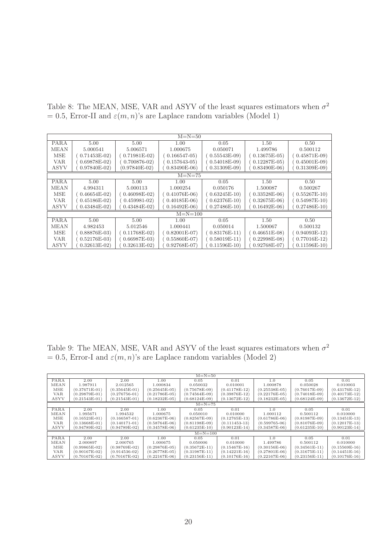Table 8: The MEAN, MSE, VAR and ASYV of the least squares estimators when  $\sigma^2$ = 0.5, Error-II and  $\varepsilon(m, n)$ 's are Laplace random variables (Model 1)

|             | $M=N=50$      |                 |                                |                |               |                |  |  |  |
|-------------|---------------|-----------------|--------------------------------|----------------|---------------|----------------|--|--|--|
| <b>PARA</b> | 5.00<br>5.00  |                 | 0.05<br>1.00                   |                | 1.50          | 0.50           |  |  |  |
| <b>MEAN</b> | 5.000541      | 5.006571        | 1.000675                       | 0.050071       | 1.499786      | 0.500112       |  |  |  |
| <b>MSE</b>  | $0.71453E-02$ | $0.71981E-02$   | $0.166547 - 05$                | $0.55543E-09$  | $0.13675E-05$ | $0.45871E-09$  |  |  |  |
| <b>VAR</b>  | $0.69878E-02$ | $0.700876 - 02$ | $0.157643 - 05$                | $0.54018E-09$  | $0.12287E-05$ | $0.45001E-09$  |  |  |  |
| <b>ASYV</b> | $0.97840E-02$ | $(0.97840E-02)$ | $0.83490E-06$                  | $0.31309E-09$  | $0.83490E-06$ | $0.31309E-09$  |  |  |  |
|             | $M=N=75$      |                 |                                |                |               |                |  |  |  |
| <b>PARA</b> | 5.00          | 5.00            | 1.00                           | 0.05           | 1.50          | 0.50           |  |  |  |
| <b>MEAN</b> | 4.994311      | 5.000113        | 1.000254                       | 0.050176       | 1.500087      | 0.500267       |  |  |  |
| MSE         | $0.46654E-02$ | $0.46098E-02$   | $(0.41076E-06)$                | $0.63245E-10$  | $0.33528E-06$ | $0.55267E-10$  |  |  |  |
| <b>VAR</b>  | $0.45186E-02$ | $0.459981 - 02$ | $0.40185E-06$                  | $0.62376E-10$  | $0.32675E-06$ | $0.54987E-10$  |  |  |  |
| ASYV        | $0.43484E-02$ | $0.43484E-02$   | $0.27486E-10$<br>$0.16492E-06$ |                | $0.16492E-06$ | $0.27486E-10$  |  |  |  |
|             |               |                 | $M = N = 100$                  |                |               |                |  |  |  |
| <b>PARA</b> | 5.00          | 5.00            | 1.00                           | 0.05           | 1.50          | 0.50           |  |  |  |
| <b>MEAN</b> | 4.982453      | 5.012546        | 1.000441                       | 0.050014       | 1.500067      | 0.500132       |  |  |  |
| <b>MSE</b>  | $0.88876E-03$ | $0.11768E-02$   | $(0.82001E-07)$                | $0.83176E-11)$ | $0.46651E-08$ | $0.94093E-12$  |  |  |  |
| VAR.        | $0.52176E-03$ | $0.66987E-03$   | $0.55860E-07$                  | $0.58019E-11$  | $0.22998E-08$ | $0.77016E-12)$ |  |  |  |
| ASYV        | $0.32613E-02$ | $0.32613E-02$   | $0.92768E-07$                  | $0.11596E-10$  | $0.92768E-07$ | $0.11596E-10$  |  |  |  |

Table 9: The MEAN, MSE, VAR and ASYV of the least squares estimators when  $\sigma^2$ = 0.5, Error-I and  $\varepsilon(m, n)$ 's are Laplace random variables (Model 2)

|             | $M=N=50$        |                   |                 |                 |                   |                   |                 |                 |  |
|-------------|-----------------|-------------------|-----------------|-----------------|-------------------|-------------------|-----------------|-----------------|--|
| PARA        | 2.00            | 2.00              | 1.00            | 0.05            | 0.01              | 1.0               | 0.05            | 0.01            |  |
| MEAN        | 1.987911        | 2.012565          | 1.000834        | 0.050032        | 0.010001          | 1.000878          | 0.050028        | 0.010003        |  |
| MSE         | (0.37671E-01)   | $(0.35645E-01)$   | $(0.25645E-05)$ | $(0.75678E-09)$ | $(0.41178E-12)$   | $(0.25538E-05)$   | $(0.76017E-09)$ | $(0.43176E-12)$ |  |
| <b>VAR</b>  | $(0.29879E-01)$ | $(0.276756 - 01)$ | $(0.21786E-05)$ | $(0.74564E-09)$ | $(0.39876E-12)$   | $(0.22176E-05)$   | $(0.74018E-09)$ | $(0.40173E-12)$ |  |
| <b>ASYV</b> | $(0.21543E-01)$ | $(0.21543E-01)$   | $(0.18232E-05)$ | $(0.68124E-09)$ | $(0.13672E-12)$   | $(0.18232E-05)$   | $(0.68124E-09)$ | $(0.13672E-12)$ |  |
|             | $M=N=75$        |                   |                 |                 |                   |                   |                 |                 |  |
| PARA        | 2.00            | 2.00              | 1.00            | 0.05            | 0.01              | 1.0               | 0.05            | 0.01            |  |
| MEAN        | 1.995671        | 1.994532          | 1.000675        | 0.050010        | 0.010000          | 1.000112          | 0.500112        | 0.010000        |  |
| MSE         | $(0.16523E-01)$ | $(0.166587 - 01)$ | $(0.62367E-06)$ | $(0.82567E-09)$ | $(0.12765E-13)$   | $(0.61786E-06)$   | $(0.81987E-09)$ | $(0.13451E-13)$ |  |
| <b>VAR</b>  | $(0.13668E-01)$ | $(0.140171 - 01)$ | $(0.58764E-06)$ | $(0.81198E-09)$ | $(0.111453 - 13)$ | $(0.599765 - 06)$ | $(0.81076E-09)$ | $(0.12017E-13)$ |  |
| ASYV        | $(0.94789E-02)$ | $(0.94789E-02)$   | $(0.34578E-06)$ | $(0.61235E-10)$ | $(0.90123E-14)$   | $(0.34587E-06)$   | $(0.61235E-10)$ | $(0.90123E-14)$ |  |
|             |                 |                   |                 | $M = N = 100$   |                   |                   |                 |                 |  |
| PARA        | 2.00            | 2.00              | 1.00            | 0.05            | 0.01              | 1.0               | 0.05            | 0.01            |  |
| MEAN        | 2.000897        | 2.000765          | 1.000675        | 0.050006        | 0.010000          | 1.499786          | 0.500112        | 0.010000        |  |
| MSE         | $(0.99865E-02)$ | $(0.98769E-02)$   | $(0.29876E-05)$ | $(0.35672E-11)$ | $(0.15467E-16)$   | $(0.30156E-06)$   | $(0.34561E-11)$ | $(0.15569E-16)$ |  |
| <b>VAR</b>  | $(0.90167E-02)$ | $(0.914536-02)$   | $(0.26778E-05)$ | $(0.31987E-11)$ | $(0.14221E-16)$   | $(0.27801E-06)$   | $(0.31675E-11)$ | $(0.14451E-16)$ |  |
| ASYV        | (0.70167E-02)   | $(0.70167E-02)$   | $(0.22167E-06)$ | $(0.23156E-11)$ | $(0.10176E-16)$   | $(0.22167E-06)$   | $(0.23156E-11)$ | (0.10176E-16)   |  |
|             |                 |                   |                 |                 |                   |                   |                 |                 |  |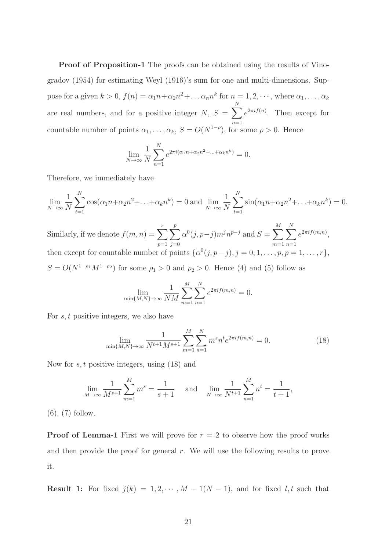Proof of Proposition-1 The proofs can be obtained using the results of Vinogradov (1954) for estimating Weyl (1916)'s sum for one and multi-dimensions. Suppose for a given  $k > 0$ ,  $f(n) = \alpha_1 n + \alpha_2 n^2 + \dots + \alpha_n n^k$  for  $n = 1, 2, \dots$ , where  $\alpha_1, \dots, \alpha_k$ are real numbers, and for a positive integer N,  $S = \sum_{n=1}^{N}$  $n=1$  $e^{2\pi i f(n)}$ . Then except for countable number of points  $\alpha_1, \ldots, \alpha_k$ ,  $S = O(N^{1-\rho})$ , for some  $\rho > 0$ . Hence

$$
\lim_{N \to \infty} \frac{1}{N} \sum_{n=1}^{N} e^{2\pi i (\alpha_1 n + \alpha_2 n^2 + \dots + \alpha_k n^k)} = 0.
$$

Therefore, we immediately have

$$
\lim_{N \to \infty} \frac{1}{N} \sum_{t=1}^{N} \cos(\alpha_1 n + \alpha_2 n^2 + \dots + \alpha_k n^k) = 0 \text{ and } \lim_{N \to \infty} \frac{1}{N} \sum_{t=1}^{N} \sin(\alpha_1 n + \alpha_2 n^2 + \dots + \alpha_k n^k) = 0.
$$

Similarly, if we denote  $f(m, n) = \sum_{r=1}^{r}$  $p=1$  $\sum_{ }^{p}$  $j=0$  $\alpha^{0}(j, p-j) m^{j} n^{p-j}$  and  $S = \sum^{M}$  $m=1$  $\sum_{i=1}^{N}$  $n=1$  $e^{2\pi i f(m,n)},$ then except for countable number of points  $\{\alpha^0(j, p-j), j = 0, 1, \ldots, p, p = 1, \ldots, r\},\$  $S = O(N^{1-\rho_1}M^{1-\rho_2})$  for some  $\rho_1 > 0$  and  $\rho_2 > 0$ . Hence (4) and (5) follow as

$$
\lim_{\min\{M,N\}\to\infty} \frac{1}{NM} \sum_{m=1}^{M} \sum_{n=1}^{N} e^{2\pi i f(m,n)} = 0.
$$

For  $s, t$  positive integers, we also have

$$
\lim_{\min\{M,N\}\to\infty} \frac{1}{N^{t+1}M^{s+1}} \sum_{m=1}^{M} \sum_{n=1}^{N} m^s n^t e^{2\pi i f(m,n)} = 0.
$$
 (18)

Now for  $s, t$  positive integers, using  $(18)$  and

$$
\lim_{M \to \infty} \frac{1}{M^{s+1}} \sum_{m=1}^{M} m^s = \frac{1}{s+1} \quad \text{and} \quad \lim_{N \to \infty} \frac{1}{N^{t+1}} \sum_{n=1}^{M} n^t = \frac{1}{t+1},
$$

(6), (7) follow.

**Proof of Lemma-1** First we will prove for  $r = 2$  to observe how the proof works and then provide the proof for general  $r$ . We will use the following results to prove it.

**Result 1:** For fixed  $j(k) = 1, 2, \dots, M - 1(N - 1)$ , and for fixed l, t such that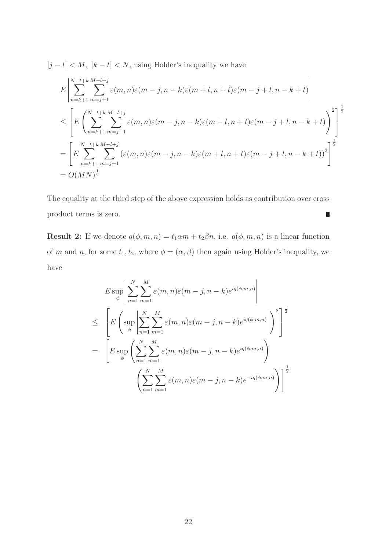$|j - l| < M$ ,  $|k - t| < N$ , using Holder's inequality we have

$$
E\left|\sum_{n=k+1}^{N-t+k} \sum_{m=j+1}^{M-l+j} \varepsilon(m,n)\varepsilon(m-j,n-k)\varepsilon(m+l,n+t)\varepsilon(m-j+l,n-k+t)\right|
$$
  
\n
$$
\leq \left[E\left(\sum_{n=k+1}^{N-t+k} \sum_{m=j+1}^{M-l+j} \varepsilon(m,n)\varepsilon(m-j,n-k)\varepsilon(m+l,n+t)\varepsilon(m-j+l,n-k+t)\right)^{2}\right]^{\frac{1}{2}}
$$
  
\n
$$
= \left[E\sum_{n=k+1}^{N-t+k} \sum_{m=j+1}^{M-l+j} (\varepsilon(m,n)\varepsilon(m-j,n-k)\varepsilon(m+l,n+t)\varepsilon(m-j+l,n-k+t))^{2}\right]^{\frac{1}{2}}
$$
  
\n
$$
= O(MN)^{\frac{1}{2}}
$$

The equality at the third step of the above expression holds as contribution over cross product terms is zero.  $\blacksquare$ 

**Result 2:** If we denote  $q(\phi, m, n) = t_1 \alpha m + t_2 \beta n$ , i.e.  $q(\phi, m, n)$  is a linear function of m and n, for some  $t_1, t_2$ , where  $\phi = (\alpha, \beta)$  then again using Holder's inequality, we have

$$
E \sup_{\phi} \left| \sum_{n=1}^{N} \sum_{m=1}^{M} \varepsilon(m, n) \varepsilon(m - j, n - k) e^{iq(\phi, m, n)} \right|
$$
  
\n
$$
\leq \left[ E \left( \sup_{\phi} \left| \sum_{n=1}^{N} \sum_{m=1}^{M} \varepsilon(m, n) \varepsilon(m - j, n - k) e^{iq(\phi, m, n)} \right| \right)^2 \right]^{\frac{1}{2}}
$$
  
\n
$$
= \left[ E \sup_{\phi} \left( \sum_{n=1}^{N} \sum_{m=1}^{M} \varepsilon(m, n) \varepsilon(m - j, n - k) e^{iq(\phi, m, n)} \right) \right]^{\frac{1}{2}}
$$
  
\n
$$
\left( \sum_{n=1}^{N} \sum_{m=1}^{M} \varepsilon(m, n) \varepsilon(m - j, n - k) e^{-iq(\phi, m, n)} \right)^{\frac{1}{2}}
$$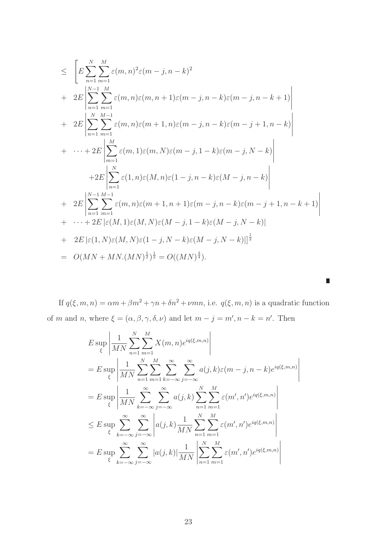$$
\leq \left[ E \sum_{n=1}^{N} \sum_{m=1}^{M} \varepsilon(m,n)^{2} \varepsilon(m-j,n-k)^{2} + 2E \left| \sum_{n=1}^{N-1} \sum_{m=1}^{M} \varepsilon(m,n) \varepsilon(m,n+1) \varepsilon(m-j,n-k) \varepsilon(m-j,n-k+1) \right|
$$
  
+ 
$$
2E \left| \sum_{n=1}^{N} \sum_{m=1}^{M-1} \varepsilon(m,n) \varepsilon(m+1,n) \varepsilon(m-j,n-k) \varepsilon(m-j+1,n-k) \right|
$$
  
+ 
$$
\cdots + 2E \left| \sum_{m=1}^{M} \varepsilon(m,1) \varepsilon(m,N) \varepsilon(m-j,1-k) \varepsilon(m-j,N-k) \right|
$$
  
+ 
$$
2E \left| \sum_{n=1}^{N} \varepsilon(1,n) \varepsilon(M,n) \varepsilon(1-j,n-k) \varepsilon(M-j,n-k) \right|
$$
  
+ 
$$
2E \left| \sum_{n=1}^{N-1} \sum_{m=1}^{M-1} \varepsilon(m,n) \varepsilon(m+1,n+1) \varepsilon(m-j,n-k) \varepsilon(m-j+1,n-k+1) \right|
$$
  
+ 
$$
\cdots + 2E \left| \varepsilon(M,1) \varepsilon(M,N) \varepsilon(M-j,1-k) \varepsilon(M-j,N-k) \right|
$$
  
+ 
$$
2E \left| \varepsilon(1,N) \varepsilon(M,N) \varepsilon(1-j,N-k) \varepsilon(M-j,N-k) \right|
$$
  
= 
$$
O(MN+MN(MN)^{\frac{1}{2}})^{\frac{1}{2}} = O((MN)^{\frac{3}{4}}).
$$

If  $q(\xi, m, n) = \alpha m + \beta m^2 + \gamma n + \delta n^2 + \nu mn$ , i.e.  $q(\xi, m, n)$  is a quadratic function of m and n, where  $\xi = (\alpha, \beta, \gamma, \delta, \nu)$  and let  $m - j = m', n - k = n'$ . Then

 $\mathcal{L}_{\mathcal{A}}$ 

$$
E \sup_{\xi} \left| \frac{1}{MN} \sum_{n=1}^{N} \sum_{m=1}^{M} X(m, n) e^{iq(\xi, m, n)} \right|
$$
  
\n
$$
= E \sup_{\xi} \left| \frac{1}{MN} \sum_{n=1}^{N} \sum_{m=1}^{M} \sum_{k=-\infty}^{\infty} \sum_{j=-\infty}^{\infty} a(j, k) \varepsilon(m - j, n - k) e^{iq(\xi, m, n)} \right|
$$
  
\n
$$
= E \sup_{\xi} \left| \frac{1}{MN} \sum_{k=-\infty}^{\infty} \sum_{j=-\infty}^{\infty} a(j, k) \sum_{n=1}^{N} \sum_{m=1}^{M} \varepsilon(m', n') e^{iq(\xi, m, n)} \right|
$$
  
\n
$$
\leq E \sup_{\xi} \sum_{k=-\infty}^{\infty} \sum_{j=-\infty}^{\infty} \left| a(j, k) \frac{1}{MN} \sum_{n=1}^{N} \sum_{m=1}^{M} \varepsilon(m', n') e^{iq(\xi, m, n)} \right|
$$
  
\n
$$
= E \sup_{\xi} \sum_{k=-\infty}^{\infty} \sum_{j=-\infty}^{\infty} |a(j, k)| \frac{1}{MN} \left| \sum_{n=1}^{N} \sum_{m=1}^{M} \varepsilon(m', n') e^{iq(\xi, m, n)} \right|
$$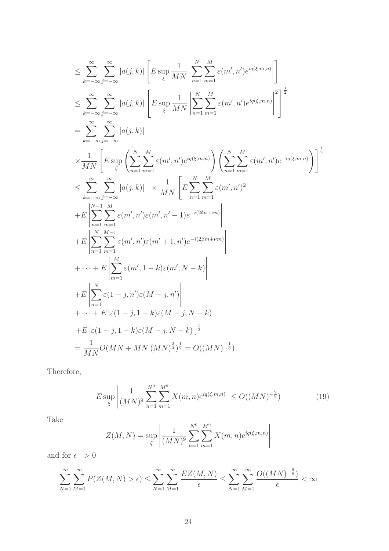$$
\leq \sum_{k=-\infty}^{\infty} \sum_{j=-\infty}^{\infty} |a(j,k)| \left[ E \sup_{\xi} \frac{1}{MN} \left| \sum_{n=1}^{N} \sum_{m=1}^{M} \varepsilon(m',n') e^{iq(\xi,m,n)} \right| \right]
$$
  
\n
$$
\leq \sum_{k=-\infty}^{\infty} \sum_{j=-\infty}^{\infty} |a(j,k)| \left[ E \sup_{\xi} \frac{1}{MN} \left| \sum_{n=1}^{N} \sum_{m=1}^{M} \varepsilon(m',n') e^{iq(\xi,m,n)} \right|^{2} \right]^{1/2}
$$
  
\n
$$
= \sum_{k=-\infty}^{\infty} \sum_{j=-\infty}^{\infty} |a(j,k)|
$$
  
\n
$$
\times \frac{1}{MN} \left[ E \sup_{\xi} \left( \sum_{n=1}^{N} \sum_{m=1}^{M} \varepsilon(m',n') e^{iq(\xi,m,n)} \right) \left( \sum_{n=1}^{N} \sum_{m=1}^{M} \varepsilon(m',n') e^{-iq(\xi,m,n)} \right) \right]^{1/2}
$$
  
\n
$$
\leq \sum_{k=-\infty}^{\infty} \sum_{j=-\infty}^{\infty} |a(j,k)| \times \frac{1}{MN} \left[ E \sum_{n=1}^{N} \sum_{m=1}^{M} \varepsilon(m',n')^{2}
$$
  
\n
$$
+ E \left| \sum_{n=1}^{N-1} \sum_{m=1}^{M} \varepsilon(m',n') \varepsilon(m',n'+1) e^{-i(2\delta n+\nu m)} \right|
$$
  
\n
$$
+ E \left| \sum_{n=1}^{N} \sum_{m=1}^{M-1} \varepsilon(m',n') \varepsilon(m'+1,n') e^{-i(2\beta m+\nu m)} \right|
$$
  
\n
$$
+ E \left| \sum_{m=1}^{N} \varepsilon(m',1-k) \varepsilon(m',N-k) \right|
$$
  
\n
$$
+ E \left| \sum_{n=1}^{N} \varepsilon(1-j,n') \varepsilon(M-j,n') \right|
$$
  
\n
$$
+ E \left| \varepsilon(1-j,1-k) \varepsilon(M-j,N-k) \right|^{1/2}
$$
  
\n

Therefore,

$$
E \sup_{\xi} \left| \frac{1}{(MN)^9} \sum_{n=1}^{N^9} \sum_{m=1}^{M^9} X(m,n) e^{iq(\xi,m,n)} \right| \le O((MN)^{-\frac{9}{8}})
$$
(19)

Take

$$
Z(M, N) = \sup_{\xi} \left| \frac{1}{(MN)^9} \sum_{n=1}^{N^9} \sum_{m=1}^{M^9} X(m, n) e^{iq(\xi, m, n)} \right|
$$

and for  $\epsilon > 0$ 

$$
\sum_{N=1}^{\infty} \sum_{M=1}^{\infty} P(Z(M, N) > \epsilon) \le \sum_{N=1}^{\infty} \sum_{M=1}^{\infty} \frac{EZ(M, N)}{\epsilon} \le \sum_{N=1}^{\infty} \sum_{M=1}^{\infty} \frac{O((MN)^{-\frac{9}{8}})}{\epsilon} < \infty
$$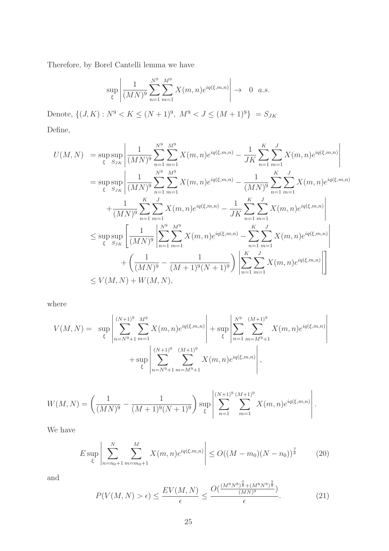Therefore, by Borel Cantelli lemma we have

$$
\sup_{\xi} \left| \frac{1}{(MN)^9} \sum_{n=1}^{N^9} \sum_{m=1}^{M^9} X(m,n) e^{iq(\xi,m,n)} \right| \to 0 \quad a.s.
$$

Denote,  $\{(J, K) : N^9 < K \leq (N+1)^9, \ M^9 < J \leq (M+1)^9\} = S_{JK}$ Define,

$$
U(M, N) = \sup_{\xi} \sup_{S_{JK}} \left| \frac{1}{(MN)^9} \sum_{n=1}^{N^9} \sum_{m=1}^{M^9} X(m, n) e^{iq(\xi, m, n)} - \frac{1}{JK} \sum_{n=1}^{K} \sum_{m=1}^{J} X(m, n) e^{iq(\xi, m, n)} \right|
$$
  
\n
$$
= \sup_{\xi} \sup_{S_{JK}} \left| \frac{1}{(MN)^9} \sum_{n=1}^{N^9} \sum_{m=1}^{M^9} X(m, n) e^{iq(\xi, m, n)} - \frac{1}{(MN)^9} \sum_{n=1}^{K} \sum_{m=1}^{J} X(m, n) e^{iq(\xi, m, n)} \right|
$$
  
\n
$$
+ \frac{1}{(MN)^9} \sum_{n=1}^{K} \sum_{m=1}^{J} X(m, n) e^{iq(\xi, m, n)} - \frac{1}{JK} \sum_{n=1}^{K} \sum_{m=1}^{J} X(m, n) e^{iq(\xi, m, n)} \right|
$$
  
\n
$$
\leq \sup_{\xi} \sup_{S_{JK}} \left[ \frac{1}{(MN)^9} \left| \sum_{n=1}^{N^9} \sum_{m=1}^{M^9} X(m, n) e^{iq(\xi, m, n)} - \sum_{n=1}^{K} \sum_{m=1}^{J} X(m, n) e^{iq(\xi, m, n)} \right|
$$
  
\n
$$
+ \left( \frac{1}{(MN)^9} - \frac{1}{(M+1)^9(N+1)^9} \right) \left| \sum_{n=1}^{K} \sum_{m=1}^{J} X(m, n) e^{iq(\xi, m, n)} \right|
$$
  
\n
$$
\leq V(M, N) + W(M, N),
$$

where

$$
V(M, N) = \sup_{\xi} \left| \sum_{n=N^{9}+1}^{(N+1)^{9}} \sum_{m=1}^{M^{9}} X(m, n) e^{iq(\xi, m, n)} \right| + \sup_{\xi} \left| \sum_{n=1}^{N^{9}} \sum_{m=M^{9}+1}^{(M+1)^{9}} X(m, n) e^{iq(\xi, m, n)} \right|
$$
  
+ 
$$
\sup_{\xi} \left| \sum_{n=N^{9}+1}^{(N+1)^{9}} \sum_{m=M^{9}+1}^{(M+1)^{9}} X(m, n) e^{iq(\xi, m, n)} \right|,
$$

$$
W(M, N) = \left(\frac{1}{(MN)^9} - \frac{1}{(M+1)^9(N+1)^9}\right) \sup_{\xi} \left| \sum_{n=1}^{(N+1)^9} \sum_{m=1}^{(M+1)^9} X(m, n) e^{iq(\xi, m, n)} \right|.
$$

We have

$$
E \sup_{\xi} \left| \sum_{n=n_0+1}^{N} \sum_{m=m_0+1}^{M} X(m,n) e^{iq(\xi,m,n)} \right| \le O((M-m_0)(N-n_0))^{\frac{7}{8}} \tag{20}
$$

and

$$
P(V(M, N) > \epsilon) \le \frac{EV(M, N)}{\epsilon} \le \frac{O(\frac{(M^9 N^8)^{\frac{7}{8}} + (M^8 N^9)^{\frac{7}{8}}}{(MN)^9})}{\epsilon}.
$$
 (21)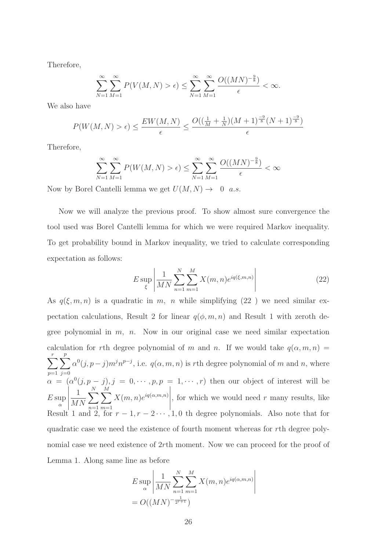Therefore,

$$
\sum_{N=1}^{\infty} \sum_{M=1}^{\infty} P(V(M, N) > \epsilon) \le \sum_{N=1}^{\infty} \sum_{M=1}^{\infty} \frac{O((MN)^{-\frac{9}{8}})}{\epsilon} < \infty.
$$

We also have

$$
P(W(M, N) > \epsilon) \le \frac{EW(M, N)}{\epsilon} \le \frac{O((\frac{1}{M} + \frac{1}{N})(M + 1)^{\frac{-9}{8}}(N + 1)^{\frac{-9}{8}})}{\epsilon}
$$

Therefore,

$$
\sum_{N=1}^{\infty} \sum_{M=1}^{\infty} P(W(M, N) > \epsilon) \le \sum_{N=1}^{\infty} \sum_{M=1}^{\infty} \frac{O((MN)^{-\frac{9}{8}})}{\epsilon} < \infty
$$

Now by Borel Cantelli lemma we get  $U(M, N) \rightarrow 0$  a.s.

Now we will analyze the previous proof. To show almost sure convergence the tool used was Borel Cantelli lemma for which we were required Markov inequality. To get probability bound in Markov inequality, we tried to calculate corresponding expectation as follows:

$$
E \sup_{\xi} \left| \frac{1}{MN} \sum_{n=1}^{N} \sum_{m=1}^{M} X(m, n) e^{iq(\xi, m, n)} \right| \tag{22}
$$

As  $q(\xi, m, n)$  is a quadratic in m, n while simplifying  $(22)$  we need similar expectation calculations, Result 2 for linear  $q(\phi, m, n)$  and Result 1 with zeroth degree polynomial in  $m$ ,  $n$ . Now in our original case we need similar expectation calculation for rth degree polynomial of m and n. If we would take  $q(\alpha, m, n)$  =  $\sum_{r}$  $p=1$  $\sum_{ }^{p}$  $j=0$  $\alpha^{0}(j, p - j) m^{j} n^{p - j}$ , i.e.  $q(\alpha, m, n)$  is rth degree polynomial of m and n, where  $\alpha = (\alpha^0(j, p-j), j = 0, \cdots, p, p = 1, \cdots, r)$  then our object of interest will be  $E \sup$ α  $\begin{array}{c} \begin{array}{c} \begin{array}{c} \end{array}\\ \begin{array}{c} \end{array} \end{array} \end{array}$ 1 MN  $\sum_{i=1}^{N}$  $n=1$  $\stackrel{M}{\blacktriangledown}$  $m=1$  $X(m, n) e^{iq(\alpha, m, n)}$  $\begin{array}{c} \hline \end{array}$ , for which we would need  $r$  many results, like Result 1 and 2, for  $r-1, r-2 \cdots, 1, 0$  th degree polynomials. Also note that for quadratic case we need the existence of fourth moment whereas for rth degree polynomial case we need existence of 2rth moment. Now we can proceed for the proof of Lemma 1. Along same line as before

$$
E \sup_{\alpha} \left| \frac{1}{MN} \sum_{n=1}^{N} \sum_{m=1}^{M} X(m, n) e^{iq(\alpha, m, n)} \right|
$$
  
=  $O((MN)^{-\frac{1}{2^{r+1}}})$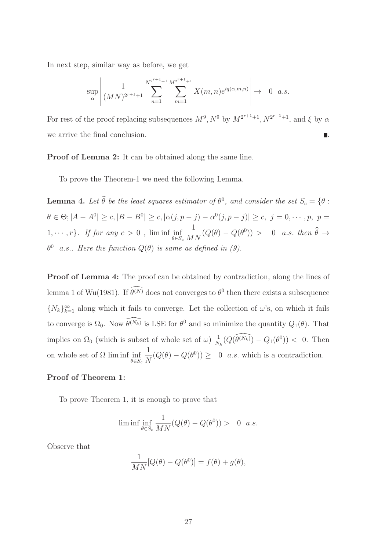In next step, similar way as before, we get

$$
\sup_{\alpha} \left| \frac{1}{(MN)^{2^{r+1}+1}} \sum_{n=1}^{N^{2^{r+1}+1}} \sum_{m=1}^{M^{2^{r+1}+1}} X(m,n) e^{iq(\alpha,m,n)} \right| \to 0 \quad a.s.
$$

For rest of the proof replacing subsequences  $M^9$ ,  $N^9$  by  $M^{2^{r+1}+1}$ ,  $N^{2^{r+1}+1}$ , and  $\xi$  by  $\alpha$ we arrive the final conclusion.  $\blacksquare$ 

Proof of Lemma 2: It can be obtained along the same line.

To prove the Theorem-1 we need the following Lemma.

**Lemma 4.** Let  $\hat{\theta}$  be the least squares estimator of  $\theta^0$ , and consider the set  $S_c = \{\theta : \theta^0\}$  $\theta \in \Theta$ ;  $|A - A^0| \ge c$ ,  $|B - B^0| \ge c$ ,  $|\alpha(j, p - j) - \alpha^0(j, p - j)| \ge c$ ,  $j = 0, \dots, p$ ,  $p =$  $1, \cdots, r$ *}. If for any*  $c > 0$ ,  $\liminf_{\theta \in S_c}$ 1  $\frac{1}{MN}(Q(\theta) - Q(\theta^0)) > 0$  a.s. then  $\widehat{\theta} \to$  $\theta^0$  a.s.. Here the function  $Q(\theta)$  is same as defined in (9).

Proof of Lemma 4: The proof can be obtained by contradiction, along the lines of lemma 1 of Wu(1981). If  $\theta^{(N)}$  does not converges to  $\theta^0$  then there exists a subsequence  $\{N_k\}_{k=1}^{\infty}$  along which it fails to converge. Let the collection of  $\omega$ 's, on which it fails to converge is  $\Omega_0$ . Now  $\widehat{\theta^{(N_k)}}$  is LSE for  $\theta^0$  and so minimize the quantity  $Q_1(\theta)$ . That implies on  $\Omega_0$  (which is subset of whole set of  $\omega$ )  $\frac{1}{N}$  $\frac{1}{N_k}(Q(\widehat{\theta^{(N_k)}}) - Q_1(\theta^0)) < 0.$  Then on whole set of  $\Omega$  lim inf inf  $\theta \in S_c$ 1  $\frac{1}{N}(Q(\theta) - Q(\theta^0)) \geq 0$  *a.s.* which is a contradiction.

#### Proof of Theorem 1:

To prove Theorem 1, it is enough to prove that

$$
\liminf_{\theta \in S_c} \frac{1}{MN} (Q(\theta) - Q(\theta^0)) > 0 \quad a.s.
$$

Observe that

$$
\frac{1}{MN}[Q(\theta) - Q(\theta^0)] = f(\theta) + g(\theta),
$$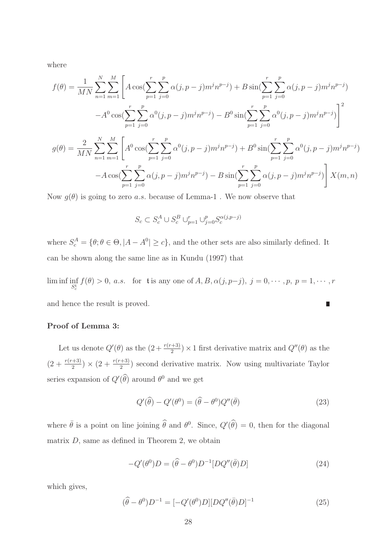where

$$
f(\theta) = \frac{1}{MN} \sum_{n=1}^{N} \sum_{m=1}^{M} \left[ A \cos(\sum_{p=1}^{r} \sum_{j=0}^{p} \alpha(j, p-j) m^{j} n^{p-j}) + B \sin(\sum_{p=1}^{r} \sum_{j=0}^{p} \alpha(j, p-j) m^{j} n^{p-j}) - A^{0} \cos(\sum_{p=1}^{r} \sum_{j=0}^{p} \alpha^{0}(j, p-j) m^{j} n^{p-j}) - B^{0} \sin(\sum_{p=1}^{r} \sum_{j=0}^{p} \alpha^{0}(j, p-j) m^{j} n^{p-j}) \right]^{2}
$$
  

$$
g(\theta) = \frac{2}{MN} \sum_{n=1}^{N} \sum_{m=1}^{M} \left[ A^{0} \cos(\sum_{p=1}^{r} \sum_{j=0}^{p} \alpha^{0}(j, p-j) m^{j} n^{p-j}) + B^{0} \sin(\sum_{p=1}^{r} \sum_{j=0}^{p} \alpha^{0}(j, p-j) m^{j} n^{p-j}) - A \cos(\sum_{p=1}^{r} \sum_{j=0}^{p} \alpha(j, p-j) m^{j} n^{p-j}) - B \sin(\sum_{p=1}^{r} \sum_{j=0}^{p} \alpha(j, p-j) m^{j} n^{p-j}) \right] X(m, n)
$$

 $p=1$ 

 $j=0$ 

Now  $q(\theta)$  is going to zero a.s. because of Lemma-1. We now observe that

 $p=1$ 

 $j=0$ 

$$
S_c \subset S_c^A \cup S_c^B \cup_{p=1}^r \cup_{j=0}^p S_c^{\alpha(j,p-j)}
$$

where  $S_c^A = \{ \theta; \theta \in \Theta, |A - A^0| \ge c \}$ , and the other sets are also similarly defined. It can be shown along the same line as in Kundu (1997) that

lim inf inf  $f(\theta) > 0$ , a.s. for t is any one of  $A, B, \alpha(j, p-j)$ ,  $j = 0, \dots, p$ ,  $p = 1, \dots, r$ and hence the result is proved. П

#### Proof of Lemma 3:

Let us denote  $Q'(\theta)$  as the  $(2+\frac{r(r+3)}{2}) \times 1$  first derivative matrix and  $Q''(\theta)$  as the  $(2+\frac{r(r+3)}{2}) \times (2+\frac{r(r+3)}{2})$  second derivative matrix. Now using multivariate Taylor series expansion of  $Q'(\theta)$  around  $\theta^0$  and we get

$$
Q'(\hat{\theta}) - Q'(\theta^0) = (\hat{\theta} - \theta^0)Q''(\bar{\theta})
$$
\n(23)

where  $\bar{\theta}$  is a point on line joining  $\hat{\theta}$  and  $\theta^0$ . Since,  $Q'(\hat{\theta}) = 0$ , then for the diagonal matrix  $D$ , same as defined in Theorem 2, we obtain

$$
-Q'(\theta^0)D = (\hat{\theta} - \theta^0)D^{-1}[DQ''(\bar{\theta})D]
$$
\n(24)

which gives,

$$
(\hat{\theta} - \theta^0)D^{-1} = [-Q'(\theta^0)D][DQ''(\bar{\theta})D]^{-1}
$$
\n(25)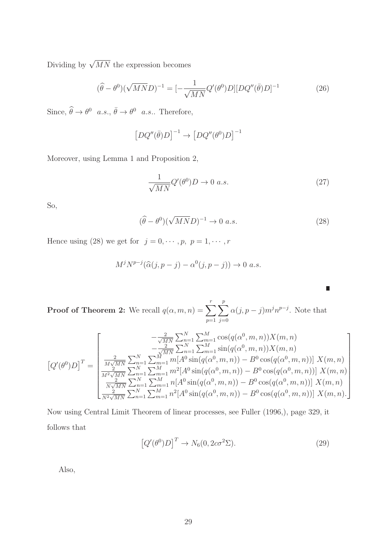Dividing by  $\sqrt{MN}$  the expression becomes

$$
(\hat{\theta} - \theta^0)(\sqrt{MN}D)^{-1} = [-\frac{1}{\sqrt{MN}}Q'(\theta^0)D][DQ''(\bar{\theta})D]^{-1}
$$
(26)

Since,  $\widehat{\theta} \to \theta^0$  a.s.,  $\overline{\theta} \to \theta^0$  a.s.. Therefore,

$$
\left[ DQ''(\bar{\theta})D \right]^{-1} \to \left[ DQ''(\theta^0)D \right]^{-1}
$$

Moreover, using Lemma 1 and Proposition 2,

$$
\frac{1}{\sqrt{MN}}Q'(\theta^0)D \to 0 \ a.s.
$$
\n(27)

So,

$$
(\hat{\theta} - \theta^0)(\sqrt{MN}D)^{-1} \to 0 \ a.s.
$$
\n(28)

 $\Box$ 

Hence using (28) we get for  $j = 0, \dots, p, p = 1, \dots, r$ 

$$
M^{j}N^{p-j}(\widehat{\alpha}(j,p-j)-\alpha^{0}(j,p-j))\to 0 \ a.s.
$$

**Proof of Theorem 2:** We recall  $q(\alpha, m, n) = \sum_{r=1}^{r}$  $p=1$  $\sum_{ }^{p}$  $j=0$  $\alpha(j, p-j) m^j n^{p-j}$ . Note that

$$
\left[Q'(\theta^{0})D\right]^{T} = \begin{bmatrix} -\frac{2}{\sqrt{MN}} \sum_{n=1}^{N} \sum_{m=1}^{M} \cos(q(\alpha^{0}, m, n))X(m, n) \\ -\frac{2}{\sqrt{MN}} \sum_{n=1}^{N} \sum_{m=1}^{M} \sin(q(\alpha^{0}, m, n))X(m, n) \\ \frac{2}{M\sqrt{MN}} \sum_{n=1}^{N} \sum_{m=1}^{M} m[A^{0} \sin(q(\alpha^{0}, m, n)) - B^{0} \cos(q(\alpha^{0}, m, n))]X(m, n) \\ \frac{2}{M^{2}\sqrt{MN}} \sum_{n=1}^{N} \sum_{m=1}^{M} m^{2}[A^{0} \sin(q(\alpha^{0}, m, n)) - B^{0} \cos(q(\alpha^{0}, m, n))]X(m, n) \\ \frac{2}{N\sqrt{MN}} \sum_{n=1}^{N} \sum_{m=1}^{M} n[A^{0} \sin(q(\alpha^{0}, m, n)) - B^{0} \cos(q(\alpha^{0}, m, n))]X(m, n) \\ \frac{2}{N^{2}\sqrt{MN}} \sum_{n=1}^{N} \sum_{m=1}^{M} n^{2}[A^{0} \sin(q(\alpha^{0}, m, n)) - B^{0} \cos(q(\alpha^{0}, m, n))]X(m, n) \end{bmatrix}
$$

Now using Central Limit Theorem of linear processes, see Fuller (1996,), page 329, it follows that

$$
\left[Q'(\theta^0)D\right]^T \to N_6(0, 2c\sigma^2\Sigma). \tag{29}
$$

Also,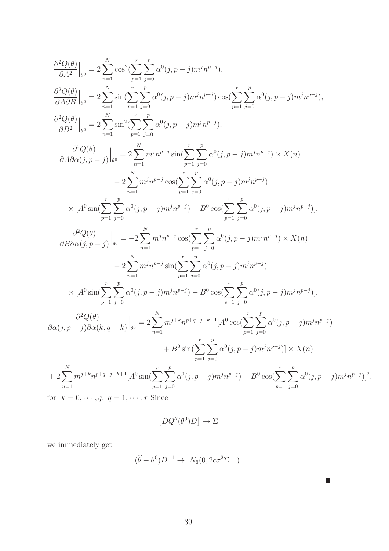$$
\frac{\partial^2 Q(\theta)}{\partial A^2}\Big|_{\rho^0} = 2 \sum_{n=1}^N \cos^2(\sum_{p=1}^r \sum_{j=0}^p \alpha^0(j, p-j) m^j n^{p-j}),
$$
\n
$$
\frac{\partial^2 Q(\theta)}{\partial A \partial B}\Big|_{\rho^0} = 2 \sum_{n=1}^N \sin(\sum_{p=1}^r \sum_{j=0}^p \alpha^0(j, p-j) m^j n^{p-j}) \cos(\sum_{p=1}^r \sum_{j=0}^p \alpha^0(j, p-j) m^j n^{p-j}),
$$
\n
$$
\frac{\partial^2 Q(\theta)}{\partial B^2}\Big|_{\rho^0} = 2 \sum_{n=1}^N \sin^2(\sum_{p=1}^r \sum_{j=0}^p \alpha^0(j, p-j) m^j n^{p-j}),
$$
\n
$$
\frac{\partial^2 Q(\theta)}{\partial A \partial \alpha(j, p-j)}\Big|_{\rho^0} = 2 \sum_{n=1}^N m^j n^{p-j} \sin(\sum_{p=1}^r \sum_{j=0}^p \alpha^0(j, p-j) m^j n^{p-j}) \times X(n)
$$
\n
$$
-2 \sum_{n=1}^N m^j n^{p-j} \cos(\sum_{p=1}^r \sum_{j=0}^p \alpha^0(j, p-j) m^j n^{p-j})
$$
\n
$$
\times [A^0 \sin(\sum_{p=1}^r \sum_{j=0}^p \alpha^0(j, p-j) m^j n^{p-j}) - B^0 \cos(\sum_{p=1}^r \sum_{j=0}^p \alpha^0(j, p-j) m^j n^{p-j})]
$$
\n
$$
\frac{\partial^2 Q(\theta)}{\partial B \partial \alpha(j, p-j)}\Big|_{\rho^0} = -2 \sum_{n=1}^N m^j n^{p-j} \cos(\sum_{p=1}^r \sum_{j=0}^p \alpha^0(j, p-j) m^j n^{p-j}) \times X(n)
$$
\n
$$
-2 \sum_{n=1}^N m^j n^{p-j} \sin(\sum_{p=1}^r \sum_{j=0}^p \alpha^0(j, p-j) m^j n^{p-j})
$$
\n
$$
\times [A^0 \sin(\sum_{p=1}^r \sum_{j=0}^p \alpha^0(j, p-j) m^j n^{p-j}) - B
$$

for  $k = 0, \dots, q, q = 1, \dots, r$  Since

$$
\left[ DQ''(\theta^0) D \right] \to \Sigma
$$

we immediately get

$$
(\widehat{\theta} - \theta^0)D^{-1} \to N_6(0, 2c\sigma^2\Sigma^{-1}).
$$

 $\blacksquare$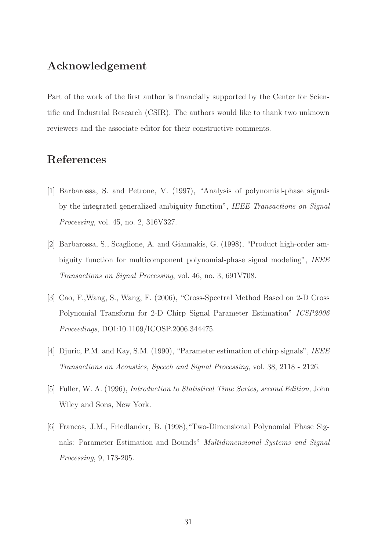### Acknowledgement

Part of the work of the first author is financially supported by the Center for Scientific and Industrial Research (CSIR). The authors would like to thank two unknown reviewers and the associate editor for their constructive comments.

## References

- [1] Barbarossa, S. and Petrone, V. (1997), "Analysis of polynomial-phase signals by the integrated generalized ambiguity function", *IEEE Transactions on Signal Processing*, vol. 45, no. 2, 316V327.
- [2] Barbarossa, S., Scaglione, A. and Giannakis, G. (1998), "Product high-order ambiguity function for multicomponent polynomial-phase signal modeling", *IEEE Transactions on Signal Processing*, vol. 46, no. 3, 691V708.
- [3] Cao, F.,Wang, S., Wang, F. (2006), "Cross-Spectral Method Based on 2-D Cross Polynomial Transform for 2-D Chirp Signal Parameter Estimation" *ICSP2006 Proceedings*, DOI:10.1109/ICOSP.2006.344475.
- [4] Djuric, P.M. and Kay, S.M. (1990), "Parameter estimation of chirp signals", *IEEE Transactions on Acoustics, Speech and Signal Processing*, vol. 38, 2118 - 2126.
- [5] Fuller, W. A. (1996), *Introduction to Statistical Time Series, second Edition*, John Wiley and Sons, New York.
- [6] Francos, J.M., Friedlander, B. (1998),"Two-Dimensional Polynomial Phase Signals: Parameter Estimation and Bounds" *Multidimensional Systems and Signal Processing*, 9, 173-205.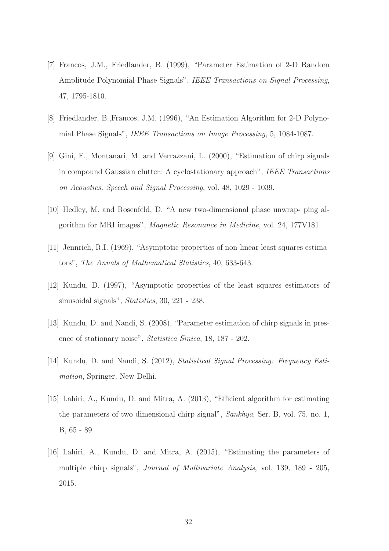- [7] Francos, J.M., Friedlander, B. (1999), "Parameter Estimation of 2-D Random Amplitude Polynomial-Phase Signals", *IEEE Transactions on Signal Processing*, 47, 1795-1810.
- [8] Friedlander, B.,Francos, J.M. (1996), "An Estimation Algorithm for 2-D Polynomial Phase Signals", *IEEE Transactions on Image Processing*, 5, 1084-1087.
- [9] Gini, F., Montanari, M. and Verrazzani, L. (2000), "Estimation of chirp signals in compound Gaussian clutter: A cyclostationary approach", *IEEE Transactions on Acoustics, Speech and Signal Processing*, vol. 48, 1029 - 1039.
- [10] Hedley, M. and Rosenfeld, D. "A new two-dimensional phase unwrap- ping algorithm for MRI images", *Magnetic Resonance in Medicine*, vol. 24, 177V181.
- [11] Jennrich, R.I. (1969), "Asymptotic properties of non-linear least squares estimators", *The Annals of Mathematical Statistics*, 40, 633-643.
- [12] Kundu, D. (1997), "Asymptotic properties of the least squares estimators of sinusoidal signals", *Statistics*, 30, 221 - 238.
- [13] Kundu, D. and Nandi, S. (2008), "Parameter estimation of chirp signals in presence of stationary noise", *Statistica Sinica*, 18, 187 - 202.
- [14] Kundu, D. and Nandi, S. (2012), *Statistical Signal Processing: Frequency Estimation*, Springer, New Delhi.
- [15] Lahiri, A., Kundu, D. and Mitra, A. (2013), "Efficient algorithm for estimating the parameters of two dimensional chirp signal", *Sankhya*, Ser. B, vol. 75, no. 1, B, 65 - 89.
- [16] Lahiri, A., Kundu, D. and Mitra, A. (2015), "Estimating the parameters of multiple chirp signals", *Journal of Multivariate Analysis*, vol. 139, 189 - 205, 2015.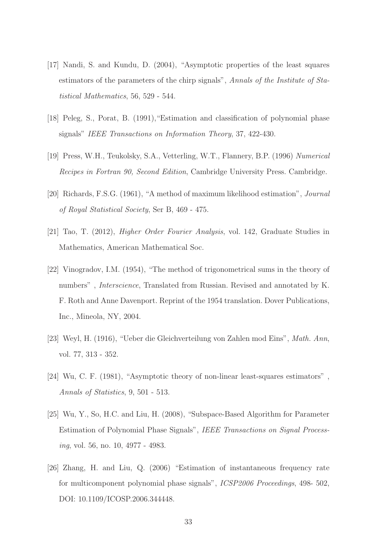- [17] Nandi, S. and Kundu, D. (2004), "Asymptotic properties of the least squares estimators of the parameters of the chirp signals", *Annals of the Institute of Statistical Mathematics*, 56, 529 - 544.
- [18] Peleg, S., Porat, B. (1991), "Estimation and classification of polynomial phase signals" *IEEE Transactions on Information Theory*, 37, 422-430.
- [19] Press, W.H., Teukolsky, S.A., Vetterling, W.T., Flannery, B.P. (1996) *Numerical Recipes in Fortran 90, Second Edition*, Cambridge University Press. Cambridge.
- [20] Richards, F.S.G. (1961), "A method of maximum likelihood estimation", *Journal of Royal Statistical Society*, Ser B, 469 - 475.
- [21] Tao, T. (2012), *Higher Order Fourier Analysis*, vol. 142, Graduate Studies in Mathematics, American Mathematical Soc.
- [22] Vinogradov, I.M. (1954), "The method of trigonometrical sums in the theory of numbers" , *Interscience*, Translated from Russian. Revised and annotated by K. F. Roth and Anne Davenport. Reprint of the 1954 translation. Dover Publications, Inc., Mineola, NY, 2004.
- [23] Weyl, H. (1916), "Ueber die Gleichverteilung von Zahlen mod Eins", *Math. Ann*, vol. 77, 313 - 352.
- [24] Wu, C. F. (1981), "Asymptotic theory of non-linear least-squares estimators" , *Annals of Statistics*, 9, 501 - 513.
- [25] Wu, Y., So, H.C. and Liu, H. (2008), "Subspace-Based Algorithm for Parameter Estimation of Polynomial Phase Signals", *IEEE Transactions on Signal Processing*, vol. 56, no. 10, 4977 - 4983.
- [26] Zhang, H. and Liu, Q. (2006) "Estimation of instantaneous frequency rate for multicomponent polynomial phase signals", *ICSP2006 Proceedings*, 498- 502, DOI: 10.1109/ICOSP.2006.344448.